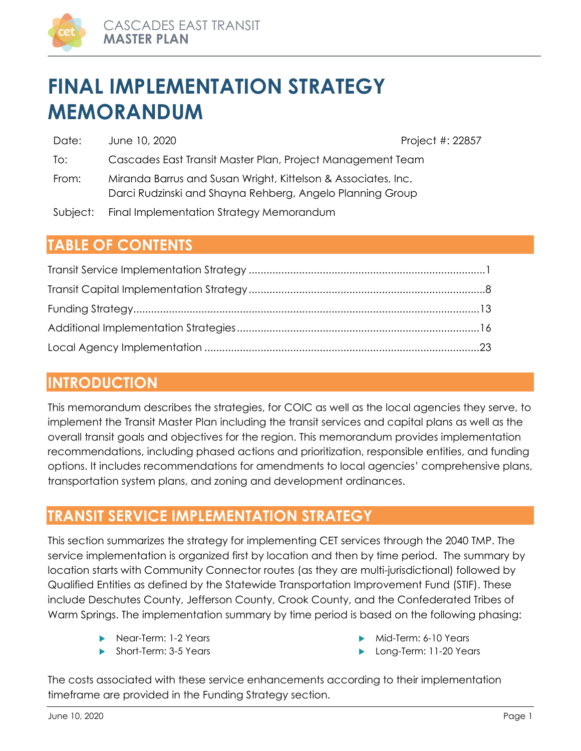

# **FINAL IMPLEMENTATION STRATEGY MEMORANDUM**

| Date:    | June 10, 2020                                                                                                              | Project #: 22857 |
|----------|----------------------------------------------------------------------------------------------------------------------------|------------------|
| To:      | Cascades East Transit Master Plan, Project Management Team                                                                 |                  |
| From:    | Miranda Barrus and Susan Wright, Kittelson & Associates, Inc.<br>Darci Rudzinski and Shayna Rehberg, Angelo Planning Group |                  |
| Subject: | Final Implementation Strategy Memorandum                                                                                   |                  |

# **TABLE OF CONTENTS**

# **INTRODUCTION**

This memorandum describes the strategies, for COIC as well as the local agencies they serve, to implement the Transit Master Plan including the transit services and capital plans as well as the overall transit goals and objectives for the region. This memorandum provides implementation recommendations, including phased actions and prioritization, responsible entities, and funding options. It includes recommendations for amendments to local agencies' comprehensive plans, transportation system plans, and zoning and development ordinances.

# **TRANSIT SERVICE IMPLEMENTATION STRATEGY**

This section summarizes the strategy for implementing CET services through the 2040 TMP. The service implementation is organized first by location and then by time period. The summary by location starts with Community Connector routes (as they are multi-jurisdictional) followed by Qualified Entities as defined by the Statewide Transportation Improvement Fund (STIF). These include Deschutes County, Jefferson County, Crook County, and the Confederated Tribes of Warm Springs. The implementation summary by time period is based on the following phasing:

- Near-Term: 1-2 Years
- Short-Term: 3-5 Years
- Mid-Term: 6-10 Years
- **Long-Term: 11-20 Years**

The costs associated with these service enhancements according to their implementation timeframe are provided in the Funding Strategy section.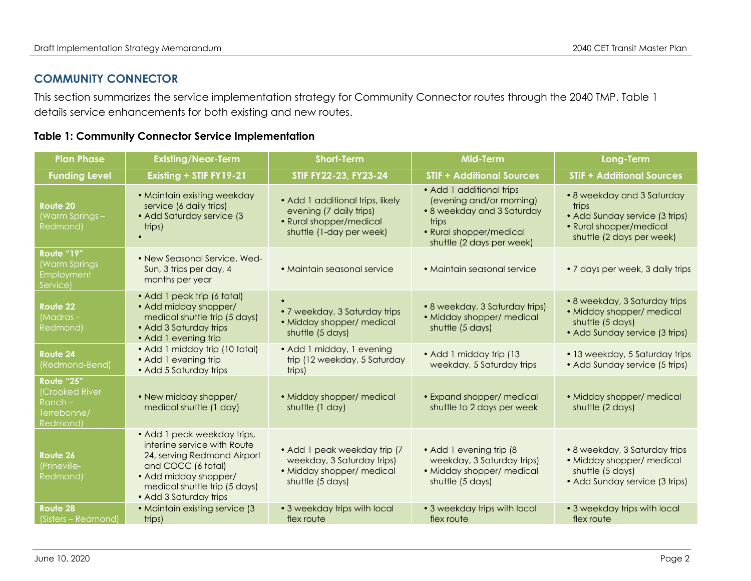# **COMMUNITY CONNECTOR**

This section summarizes the service implementation strategy for Community Connector routes through the 2040 TMP. Table 1 details service enhancements for both existing and new routes.

|  |  |  |  |  | <b>Table 1: Community Connector Service Implementation</b> |
|--|--|--|--|--|------------------------------------------------------------|
|--|--|--|--|--|------------------------------------------------------------|

| <b>Plan Phase</b>                                                          | <b>Existing/Near-Term</b>                                                                                                                                                                            | <b>Short-Term</b>                                                                                                  | <b>Mid-Term</b>                                                                                                                                     | Long-Term                                                                                                                     |
|----------------------------------------------------------------------------|------------------------------------------------------------------------------------------------------------------------------------------------------------------------------------------------------|--------------------------------------------------------------------------------------------------------------------|-----------------------------------------------------------------------------------------------------------------------------------------------------|-------------------------------------------------------------------------------------------------------------------------------|
| <b>Funding Level</b>                                                       | Existing + STIF FY19-21                                                                                                                                                                              | STIF FY22-23, FY23-24                                                                                              | <b>STIF + Additional Sources</b>                                                                                                                    | <b>STIF + Additional Sources</b>                                                                                              |
| Route 20<br>(Warm Springs –<br>Redmond)                                    | • Maintain existing weekday<br>service (6 daily trips)<br>• Add Saturday service (3<br>trips)                                                                                                        | • Add 1 additional trips, likely<br>evening (7 daily trips)<br>• Rural shopper/medical<br>shuttle (1-day per week) | • Add 1 additional trips<br>(evening and/or morning)<br>• 8 weekday and 3 Saturday<br>trips<br>• Rural shopper/medical<br>shuttle (2 days per week) | • 8 weekday and 3 Saturday<br>trips<br>• Add Sunday service (3 trips)<br>• Rural shopper/medical<br>shuttle (2 days per week) |
| Route "19"<br><b>(Warm Springs</b><br>Employment<br>Service)               | • New Seasonal Service, Wed-<br>Sun, 3 trips per day, 4<br>months per year                                                                                                                           | • Maintain seasonal service                                                                                        | • Maintain seasonal service                                                                                                                         | • 7 days per week, 3 daily trips                                                                                              |
| Route 22<br>(Madras -<br>Redmond)                                          | • Add 1 peak trip (6 total)<br>• Add midday shopper/<br>medical shuttle trip (5 days)<br>• Add 3 Saturday trips<br>• Add 1 evening trip                                                              | • 7 weekday, 3 Saturday trips<br>· Midday shopper/ medical<br>shuttle (5 days)                                     | • 8 weekday, 3 Saturday trips)<br>· Midday shopper/ medical<br>shuttle (5 days)                                                                     | • 8 weekday, 3 Saturday trips<br>• Midday shopper/ medical<br>shuttle (5 days)<br>• Add Sunday service (3 trips)              |
| Route 24<br>(Redmond-Bend)                                                 | • Add 1 midday trip (10 total)<br>• Add 1 evening trip<br>• Add 5 Saturday trips                                                                                                                     | • Add 1 midday, 1 evening<br>trip (12 weekday, 5 Saturday<br>trips)                                                | • Add 1 midday trip (13<br>weekday, 5 Saturday trips                                                                                                | • 13 weekday, 5 Saturday trips<br>• Add Sunday service (5 trips)                                                              |
| Route "25"<br>(Crooked River<br>Ranch –<br>Terrebonne/<br><b>Redmond</b> ) | • New midday shopper/<br>medical shuttle (1 day)                                                                                                                                                     | • Midday shopper/ medical<br>shuttle (1 day)                                                                       | • Expand shopper/ medical<br>shuttle to 2 days per week                                                                                             | • Midday shopper/ medical<br>shuttle (2 days)                                                                                 |
| Route 26<br>(Prineville-<br>Redmond)                                       | • Add 1 peak weekday trips,<br>interline service with Route<br>24, serving Redmond Airport<br>and COCC (6 total)<br>• Add midday shopper/<br>medical shuttle trip (5 days)<br>• Add 3 Saturday trips | · Add 1 peak weekday trip (7<br>weekday, 3 Saturday trips)<br>• Midday shopper/ medical<br>shuttle (5 days)        | • Add 1 evening trip (8<br>weekday, 3 Saturday trips)<br>• Midday shopper/ medical<br>shuttle (5 days)                                              | • 8 weekday, 3 Saturday trips<br>• Midday shopper/ medical<br>shuttle (5 days)<br>• Add Sunday service (3 trips)              |
| Route 28<br>(Sisters – Redmond)                                            | • Maintain existing service (3<br>trips)                                                                                                                                                             | • 3 weekday trips with local<br>flex route                                                                         | • 3 weekday trips with local<br>flex route                                                                                                          | • 3 weekday trips with local<br>flex route                                                                                    |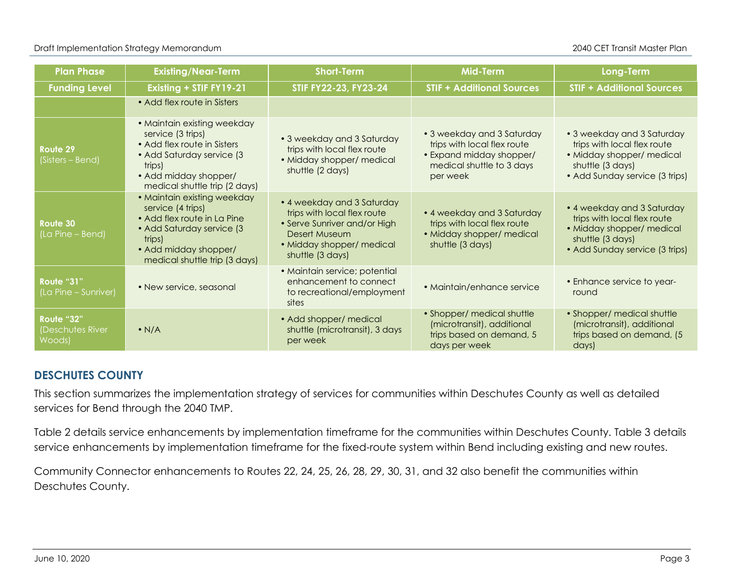| <b>Plan Phase</b>                        | <b>Existing/Near-Term</b>                                                                                                                                                         | <b>Short-Term</b>                                                                                                                                           | <b>Mid-Term</b>                                                                                                                | Long-Term                                                                                                                                    |
|------------------------------------------|-----------------------------------------------------------------------------------------------------------------------------------------------------------------------------------|-------------------------------------------------------------------------------------------------------------------------------------------------------------|--------------------------------------------------------------------------------------------------------------------------------|----------------------------------------------------------------------------------------------------------------------------------------------|
| <b>Funding Level</b>                     | Existing + STIF FY19-21                                                                                                                                                           | STIF FY22-23, FY23-24                                                                                                                                       | <b>STIF + Additional Sources</b>                                                                                               | <b>STIF + Additional Sources</b>                                                                                                             |
|                                          | • Add flex route in Sisters                                                                                                                                                       |                                                                                                                                                             |                                                                                                                                |                                                                                                                                              |
| Route 29<br>(Sisters – Bend)             | • Maintain existing weekday<br>service (3 trips)<br>• Add flex route in Sisters<br>• Add Saturday service (3<br>trips)<br>• Add midday shopper/<br>medical shuttle trip (2 days)  | • 3 weekday and 3 Saturday<br>trips with local flex route<br>· Midday shopper/ medical<br>shuttle (2 days)                                                  | • 3 weekday and 3 Saturday<br>trips with local flex route<br>• Expand midday shopper/<br>medical shuttle to 3 days<br>per week | • 3 weekday and 3 Saturday<br>trips with local flex route<br>• Midday shopper/ medical<br>shuttle (3 days)<br>• Add Sunday service (3 trips) |
| Route 30<br>(La Pine – Bend)             | • Maintain existing weekday<br>service (4 trips)<br>• Add flex route in La Pine<br>• Add Saturday service (3)<br>trips)<br>• Add midday shopper/<br>medical shuttle trip (3 days) | • 4 weekday and 3 Saturday<br>trips with local flex route<br>• Serve Sunriver and/or High<br>Desert Museum<br>• Midday shopper/ medical<br>shuttle (3 days) | • 4 weekday and 3 Saturday<br>trips with local flex route<br>• Midday shopper/ medical<br>shuttle (3 days)                     | • 4 weekday and 3 Saturday<br>trips with local flex route<br>• Midday shopper/ medical<br>shuttle (3 days)<br>• Add Sunday service (3 trips) |
| Route "31"<br>(La Pine – Sunriver)       | • New service, seasonal                                                                                                                                                           | · Maintain service; potential<br>enhancement to connect<br>to recreational/employment<br>sites                                                              | • Maintain/enhance service                                                                                                     | • Enhance service to year-<br>round                                                                                                          |
| Route "32"<br>(Deschutes River<br>Woods) | $\bullet$ N/A                                                                                                                                                                     | • Add shopper/ medical<br>shuttle (microtransit), 3 days<br>per week                                                                                        | • Shopper/ medical shuttle<br>(microtransit), additional<br>trips based on demand, 5<br>days per week                          | • Shopper/ medical shuttle<br>(microtransit), additional<br>trips based on demand, (5)<br>days)                                              |

# **DESCHUTES COUNTY**

This section summarizes the implementation strategy of services for communities within Deschutes County as well as detailed services for Bend through the 2040 TMP.

Table 2 details service enhancements by implementation timeframe for the communities within Deschutes County. Table 3 details service enhancements by implementation timeframe for the fixed-route system within Bend including existing and new routes.

Community Connector enhancements to Routes 22, 24, 25, 26, 28, 29, 30, 31, and 32 also benefit the communities within Deschutes County.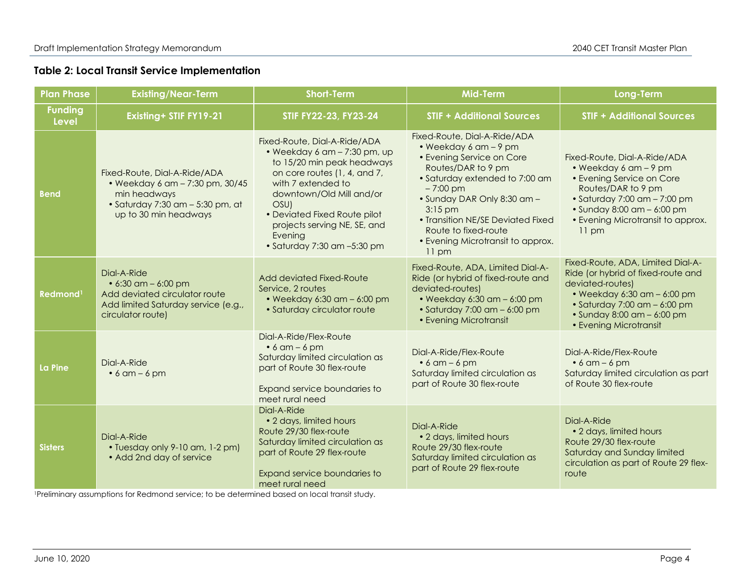#### **Table 2: Local Transit Service Implementation**

| <b>Plan Phase</b>              | <b>Existing/Near-Term</b>                                                                                                                              | <b>Short-Term</b>                                                                                                                                                                                                                                                                                                  | <b>Mid-Term</b>                                                                                                                                                                                                                                                                                                                       | <b>Long-Term</b>                                                                                                                                                                                                                                         |
|--------------------------------|--------------------------------------------------------------------------------------------------------------------------------------------------------|--------------------------------------------------------------------------------------------------------------------------------------------------------------------------------------------------------------------------------------------------------------------------------------------------------------------|---------------------------------------------------------------------------------------------------------------------------------------------------------------------------------------------------------------------------------------------------------------------------------------------------------------------------------------|----------------------------------------------------------------------------------------------------------------------------------------------------------------------------------------------------------------------------------------------------------|
| <b>Funding</b><br><b>Level</b> | Existing+ STIF FY19-21                                                                                                                                 | STIF FY22-23, FY23-24                                                                                                                                                                                                                                                                                              | <b>STIF + Additional Sources</b>                                                                                                                                                                                                                                                                                                      | <b>STIF + Additional Sources</b>                                                                                                                                                                                                                         |
| <b>Bend</b>                    | Fixed-Route, Dial-A-Ride/ADA<br>• Weekday 6 am - 7:30 pm, 30/45<br>min headways<br>$\bullet$ Saturday 7:30 am $-$ 5:30 pm, at<br>up to 30 min headways | Fixed-Route, Dial-A-Ride/ADA<br>$\bullet$ Weekday 6 am $-$ 7:30 pm, up<br>to 15/20 min peak headways<br>on core routes (1, 4, and 7,<br>with 7 extended to<br>downtown/Old Mill and/or<br>OSU)<br>• Deviated Fixed Route pilot<br>projects serving NE, SE, and<br>Evening<br>$\bullet$ Saturday 7:30 am $-5:30$ pm | Fixed-Route, Dial-A-Ride/ADA<br>• Weekday $6$ am $-$ 9 pm<br>• Evening Service on Core<br>Routes/DAR to 9 pm<br>• Saturday extended to 7:00 am<br>$-7:00 \text{ pm}$<br>· Sunday DAR Only 8:30 am -<br>$3:15$ pm<br>• Transition NE/SE Deviated Fixed<br>Route to fixed-route<br>• Evening Microtransit to approx.<br>$11 \text{ pm}$ | Fixed-Route, Dial-A-Ride/ADA<br>$\bullet$ Weekday 6 am - 9 pm<br>• Evening Service on Core<br>Routes/DAR to 9 pm<br>$\bullet$ Saturday 7:00 am $-$ 7:00 pm<br>$\bullet$ Sunday 8:00 am - 6:00 pm<br>• Evening Microtransit to approx.<br>$11 \text{ pm}$ |
| Redmond <sup>1</sup>           | Dial-A-Ride<br>$\bullet$ 6:30 am - 6:00 pm<br>Add deviated circulator route<br>Add limited Saturday service (e.g.,<br>circulator route)                | Add deviated Fixed-Route<br>Service, 2 routes<br>$\bullet$ Weekday 6:30 am $-$ 6:00 pm<br>• Saturday circulator route                                                                                                                                                                                              |                                                                                                                                                                                                                                                                                                                                       | Fixed-Route, ADA, Limited Dial-A-<br>Ride (or hybrid of fixed-route and<br>deviated-routes)<br>$\bullet$ Weekday 6:30 am $-$ 6:00 pm<br>• Saturday 7:00 am $-$ 6:00 pm<br>$\bullet$ Sunday 8:00 am $-$ 6:00 pm<br>• Evening Microtransit                 |
| La Pine                        | Dial-A-Ride<br>$\bullet$ 6 am – 6 pm                                                                                                                   | Dial-A-Ride/Flex-Route<br>$\bullet$ 6 am – 6 pm<br>Saturday limited circulation as<br>part of Route 30 flex-route<br>Expand service boundaries to<br>meet rural need                                                                                                                                               | Dial-A-Ride/Flex-Route<br>$\bullet$ 6 am – 6 pm<br>Saturday limited circulation as<br>part of Route 30 flex-route                                                                                                                                                                                                                     | Dial-A-Ride/Flex-Route<br>$\bullet$ 6 am – 6 pm<br>Saturday limited circulation as part<br>of Route 30 flex-route                                                                                                                                        |
| <b>Sisters</b>                 | Dial-A-Ride<br>• Tuesday only 9-10 am, 1-2 pm)<br>• Add 2nd day of service                                                                             | Dial-A-Ride<br>• 2 days, limited hours<br>Route 29/30 flex-route<br>Saturday limited circulation as<br>part of Route 29 flex-route<br>Expand service boundaries to<br>meet rural need                                                                                                                              | Dial-A-Ride<br>• 2 days, limited hours<br>Route 29/30 flex-route<br>Saturday limited circulation as<br>part of Route 29 flex-route                                                                                                                                                                                                    | Dial-A-Ride<br>• 2 days, limited hours<br>Route 29/30 flex-route<br>Saturday and Sunday limited<br>circulation as part of Route 29 flex-<br>route                                                                                                        |

1Preliminary assumptions for Redmond service; to be determined based on local transit study.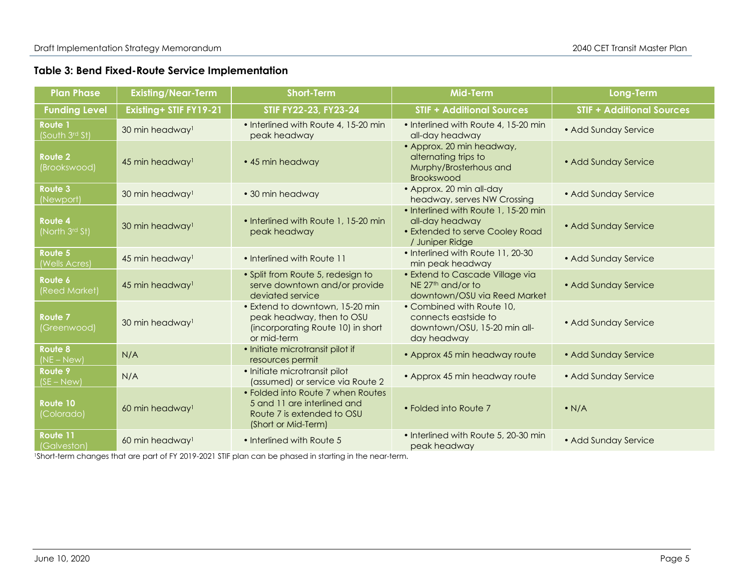#### **Table 3: Bend Fixed-Route Service Implementation**

| <b>Plan Phase</b>                 | <b>Existing/Near-Term</b>   | <b>Short-Term</b>                                                                                                     | <b>Mid-Term</b>                                                                                                   | <b>Long-Term</b>                 |
|-----------------------------------|-----------------------------|-----------------------------------------------------------------------------------------------------------------------|-------------------------------------------------------------------------------------------------------------------|----------------------------------|
| <b>Funding Level</b>              | Existing+ STIF FY19-21      | STIF FY22-23, FY23-24                                                                                                 | <b>STIF + Additional Sources</b>                                                                                  | <b>STIF + Additional Sources</b> |
| Route 1<br>(South 3rd St)         | 30 min headway <sup>1</sup> | • Interlined with Route 4, 15-20 min<br>peak headway                                                                  | • Interlined with Route 4, 15-20 min<br>all-day headway                                                           | • Add Sunday Service             |
| <b>Route 2</b><br>(Brookswood)    | 45 min headway <sup>1</sup> | • 45 min headway                                                                                                      | • Approx. 20 min headway,<br>alternating trips to<br>• Add Sunday Service<br>Murphy/Brosterhous and<br>Brookswood |                                  |
| Route 3<br>(Newport)              | 30 min headway <sup>1</sup> | • 30 min headway                                                                                                      | • Approx. 20 min all-day<br>headway, serves NW Crossing                                                           | • Add Sunday Service             |
| Route 4<br>(North 3rd St)         | 30 min headway <sup>1</sup> | • Interlined with Route 1, 15-20 min<br>peak headway                                                                  | • Interlined with Route 1, 15-20 min<br>all-day headway<br>• Extended to serve Cooley Road<br>/ Juniper Ridge     | • Add Sunday Service             |
| Route 5<br>(Wells Acres)          | 45 min headway <sup>1</sup> | • Interlined with Route 11                                                                                            | • Interlined with Route 11, 20-30<br>min peak headway                                                             | • Add Sunday Service             |
| Route 6<br>(Reed Market)          | 45 min headway <sup>1</sup> | • Split from Route 5, redesign to<br>serve downtown and/or provide<br>deviated service                                | • Extend to Cascade Village via<br>NE 27 <sup>th</sup> and/or to<br>downtown/OSU via Reed Market                  | • Add Sunday Service             |
| Route <sub>7</sub><br>(Greenwood) | 30 min headway <sup>1</sup> | • Extend to downtown, 15-20 min<br>peak headway, then to OSU<br>(incorporating Route 10) in short<br>or mid-term      | • Combined with Route 10,<br>connects eastside to<br>downtown/OSU, 15-20 min all-<br>day headway                  | • Add Sunday Service             |
| <b>Route 8</b><br>$(NE - New)$    | N/A                         | • Initiate microtransit pilot if<br>resources permit                                                                  | • Approx 45 min headway route                                                                                     | • Add Sunday Service             |
| Route 9<br>$(SE - New)$           | N/A                         | • Initiate microtransit pilot<br>(assumed) or service via Route 2                                                     | • Approx 45 min headway route                                                                                     | • Add Sunday Service             |
| Route 10<br>(Colorado)            | 60 min headway <sup>1</sup> | • Folded into Route 7 when Routes<br>5 and 11 are interlined and<br>Route 7 is extended to OSU<br>(Short or Mid-Term) | • Folded into Route 7                                                                                             | $\bullet$ N/A                    |
| Route 11<br>(Galveston)           | 60 min headway <sup>1</sup> | • Interlined with Route 5                                                                                             | • Interlined with Route 5, 20-30 min<br>peak headway                                                              | • Add Sunday Service             |

1Short-term changes that are part of FY 2019-2021 STIF plan can be phased in starting in the near-term.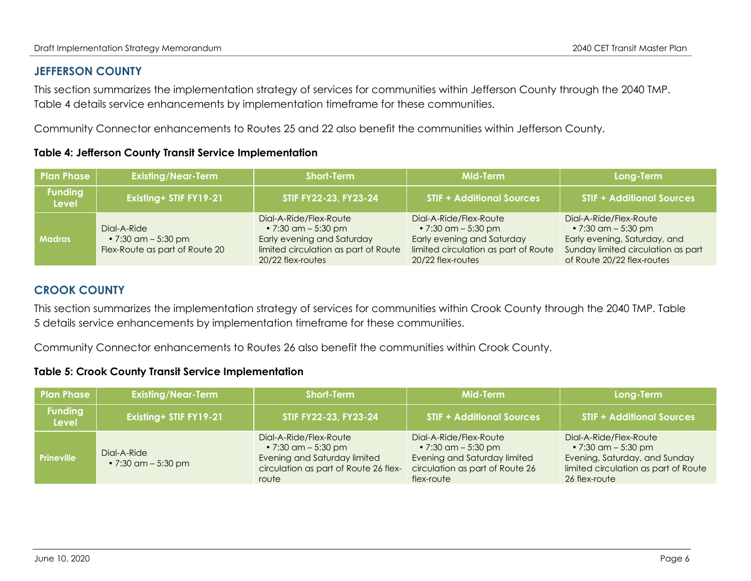# **JEFFERSON COUNTY**

This section summarizes the implementation strategy of services for communities within Jefferson County through the 2040 TMP. Table 4 details service enhancements by implementation timeframe for these communities.

Community Connector enhancements to Routes 25 and 22 also benefit the communities within Jefferson County.

|  |  |  | <b>Table 4: Jefferson County Transit Service Implementation</b> |
|--|--|--|-----------------------------------------------------------------|
|--|--|--|-----------------------------------------------------------------|

| <b>Plan Phase</b>              | <b>Existing/Near-Term</b>                                                    | <b>Short-Term</b>                                                                                                                                | Mid-Term                                                                                                                                    | Long-Term                                                                                                                                                 |
|--------------------------------|------------------------------------------------------------------------------|--------------------------------------------------------------------------------------------------------------------------------------------------|---------------------------------------------------------------------------------------------------------------------------------------------|-----------------------------------------------------------------------------------------------------------------------------------------------------------|
| <b>Funding</b><br><b>Level</b> | Existing+ STIF FY19-21                                                       | STIF FY22-23, FY23-24                                                                                                                            | <b>STIF + Additional Sources</b>                                                                                                            | <b>STIF + Additional Sources</b>                                                                                                                          |
| <b>Madras</b>                  | Dial-A-Ride<br>• 7:30 $\alpha$ m – 5:30 pm<br>Flex-Route as part of Route 20 | Digl-A-Ride/Flex-Route<br>• 7:30 $\alpha$ m – 5:30 pm<br>Early evening and Saturday<br>limited circulation as part of Route<br>20/22 flex-routes | Dial-A-Ride/Flex-Route<br>• $7:30$ am $-5:30$ pm<br>Early evening and Saturday<br>limited circulation as part of Route<br>20/22 flex-routes | Digl-A-Ride/Flex-Route<br>• 7:30 $\alpha$ m – 5:30 pm<br>Early evening, Saturday, and<br>Sunday limited circulation as part<br>of Route 20/22 flex-routes |

# **CROOK COUNTY**

This section summarizes the implementation strategy of services for communities within Crook County through the 2040 TMP. Table 5 details service enhancements by implementation timeframe for these communities.

Community Connector enhancements to Routes 26 also benefit the communities within Crook County.

#### **Table 5: Crook County Transit Service Implementation**

| <b>Plan Phase</b>       | <b>Existing/Near-Term</b>                  | <b>Short-Term</b>                                                                                                                                                                                                                                  | Mid-Term                         | Long-Term                                                                                                                                       |
|-------------------------|--------------------------------------------|----------------------------------------------------------------------------------------------------------------------------------------------------------------------------------------------------------------------------------------------------|----------------------------------|-------------------------------------------------------------------------------------------------------------------------------------------------|
| <b>Funding</b><br>Level | <b>Existing+ STIF FY19-21</b>              | STIF FY22-23, FY23-24                                                                                                                                                                                                                              | <b>STIF + Additional Sources</b> | <b>STIF + Additional Sources</b>                                                                                                                |
| <b>Prineville</b>       | Dial-A-Ride<br>• 7:30 $\alpha$ m – 5:30 pm | Digl-A-Ride/Flex-Route<br>Dial-A-Ride/Flex-Route<br>• 7:30 $\alpha$ m – 5:30 pm<br>Evening and Saturday limited<br>Evening and Saturday limited<br>circulation as part of Route 26 flex-<br>circulation as part of Route 26<br>flex-route<br>route |                                  | Digl-A-Ride/Flex-Route<br>• 7:30 $\alpha$ m – 5:30 pm<br>Evening, Saturday, and Sunday<br>limited circulation as part of Route<br>26 flex-route |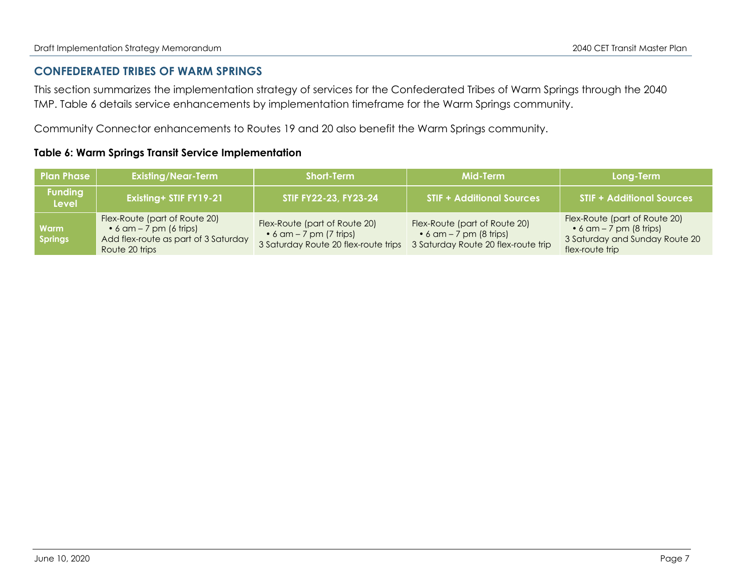# **CONFEDERATED TRIBES OF WARM SPRINGS**

This section summarizes the implementation strategy of services for the Confederated Tribes of Warm Springs through the 2040 TMP. Table 6 details service enhancements by implementation timeframe for the Warm Springs community.

Community Connector enhancements to Routes 19 and 20 also benefit the Warm Springs community.

# **Table 6: Warm Springs Transit Service Implementation**

| <b>Plan Phase</b>              | <b>Existing/Near-Term</b><br><b>Short-Term</b>                                                                             |                                                                                                          | Mid-Term                                                                                                | Long-Term                                                                                                             |
|--------------------------------|----------------------------------------------------------------------------------------------------------------------------|----------------------------------------------------------------------------------------------------------|---------------------------------------------------------------------------------------------------------|-----------------------------------------------------------------------------------------------------------------------|
| <b>Funding</b><br><b>Level</b> | Existing+ STIF FY19-21                                                                                                     | STIF FY22-23, FY23-24                                                                                    | <b>STIF + Additional Sources</b>                                                                        | <b>STIF + Additional Sources</b>                                                                                      |
| <b>Warm</b><br><b>Springs</b>  | Flex-Route (part of Route 20)<br>$\bullet$ 6 am – 7 pm (6 trips)<br>Add flex-route as part of 3 Saturday<br>Route 20 trips | Flex-Route (part of Route 20)<br>$\bullet$ 6 am – 7 pm (7 trips)<br>3 Saturday Route 20 flex-route trips | Flex-Route (part of Route 20)<br>$\bullet$ 6 am – 7 pm (8 trips)<br>3 Saturday Route 20 flex-route trip | Flex-Route (part of Route 20)<br>$\bullet$ 6 am - 7 pm (8 trips)<br>3 Saturday and Sunday Route 20<br>flex-route trip |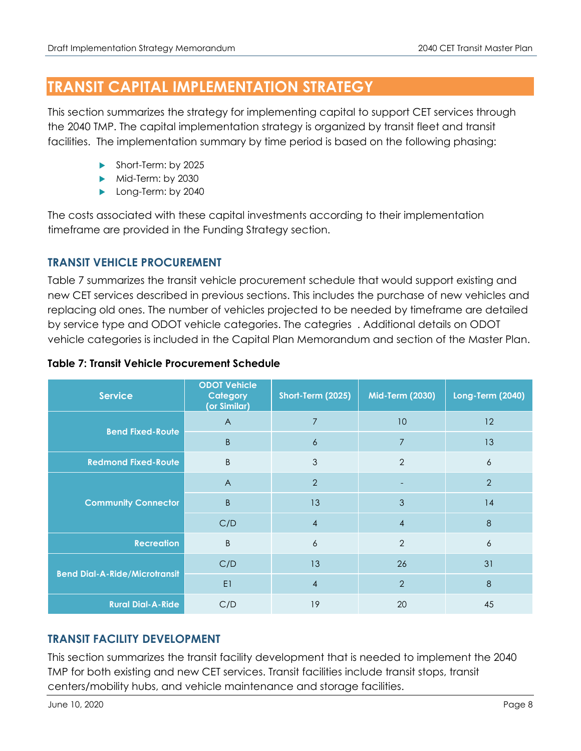# **TRANSIT CAPITAL IMPLEMENTATION STRATEGY**

This section summarizes the strategy for implementing capital to support CET services through the 2040 TMP. The capital implementation strategy is organized by transit fleet and transit facilities. The implementation summary by time period is based on the following phasing:

- Short-Term: by 2025
- Mid-Term: by 2030
- **Long-Term: by 2040**

The costs associated with these capital investments according to their implementation timeframe are provided in the Funding Strategy section.

# **TRANSIT VEHICLE PROCUREMENT**

Table 7 summarizes the transit vehicle procurement schedule that would support existing and new CET services described in previous sections. This includes the purchase of new vehicles and replacing old ones. The number of vehicles projected to be needed by timeframe are detailed by service type and ODOT vehicle categories. The categries . Additional details on ODOT vehicle categories is included in the Capital Plan Memorandum and section of the Master Plan.

| <b>Service</b>                       | <b>ODOT Vehicle</b><br>Category<br>(or Similar) | Short-Term (2025) | <b>Mid-Term (2030)</b> | <b>Long-Term (2040)</b> |
|--------------------------------------|-------------------------------------------------|-------------------|------------------------|-------------------------|
| <b>Bend Fixed-Route</b>              | $\overline{A}$                                  | $\overline{7}$    | 10                     | 12                      |
|                                      | B                                               | $\boldsymbol{6}$  | $\overline{7}$         | 13                      |
| <b>Redmond Fixed-Route</b>           | B                                               | 3                 | $\overline{2}$         | 6                       |
|                                      | $\overline{A}$                                  | $\overline{2}$    |                        | $\overline{2}$          |
| <b>Community Connector</b>           | $\mathsf B$                                     | 13                | 3                      | 14                      |
|                                      | C/D                                             | $\overline{4}$    | $\overline{4}$         | 8                       |
| <b>Recreation</b>                    | B                                               | 6                 | $\overline{2}$         | $\boldsymbol{6}$        |
|                                      | C/D                                             | 13                | 26                     | 31                      |
| <b>Bend Dial-A-Ride/Microtransit</b> | E1                                              | $\overline{4}$    | $\overline{2}$         | $\,8\,$                 |
| <b>Rural Dial-A-Ride</b>             | C/D                                             | 19                | 20                     | 45                      |

# **Table 7: Transit Vehicle Procurement Schedule**

# **TRANSIT FACILITY DEVELOPMENT**

This section summarizes the transit facility development that is needed to implement the 2040 TMP for both existing and new CET services. Transit facilities include transit stops, transit centers/mobility hubs, and vehicle maintenance and storage facilities.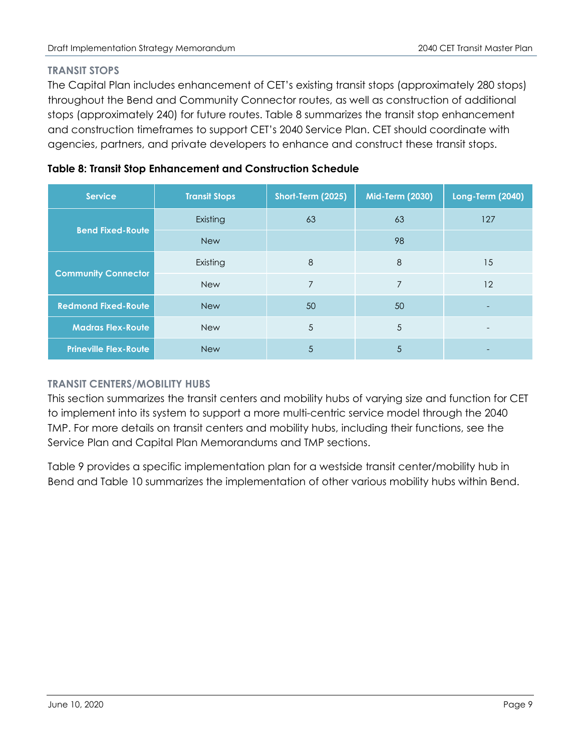# **TRANSIT STOPS**

The Capital Plan includes enhancement of CET's existing transit stops (approximately 280 stops) throughout the Bend and Community Connector routes, as well as construction of additional stops (approximately 240) for future routes. Table 8 summarizes the transit stop enhancement and construction timeframes to support CET's 2040 Service Plan. CET should coordinate with agencies, partners, and private developers to enhance and construct these transit stops.

| <b>Service</b>               | <b>Transit Stops</b> | Short-Term (2025) | Mid-Term (2030) | <b>Long-Term (2040)</b> |  |
|------------------------------|----------------------|-------------------|-----------------|-------------------------|--|
|                              | Existing             | 63                | 63              | 127                     |  |
| <b>Bend Fixed-Route</b>      | <b>New</b>           |                   | 98              |                         |  |
| <b>Community Connector</b>   | Existing             | 8                 | $\,8\,$         | 15                      |  |
|                              | <b>New</b>           | 7                 | 7               | 12                      |  |
| <b>Redmond Fixed-Route</b>   | <b>New</b>           | 50                | 50              |                         |  |
| <b>Madras Flex-Route</b>     | <b>New</b>           | 5                 | 5               |                         |  |
| <b>Prineville Flex-Route</b> | <b>New</b>           | 5                 | 5               |                         |  |

# **Table 8: Transit Stop Enhancement and Construction Schedule**

# **TRANSIT CENTERS/MOBILITY HUBS**

This section summarizes the transit centers and mobility hubs of varying size and function for CET to implement into its system to support a more multi-centric service model through the 2040 TMP. For more details on transit centers and mobility hubs, including their functions, see the Service Plan and Capital Plan Memorandums and TMP sections.

Table 9 provides a specific implementation plan for a westside transit center/mobility hub in Bend and Table 10 summarizes the implementation of other various mobility hubs within Bend.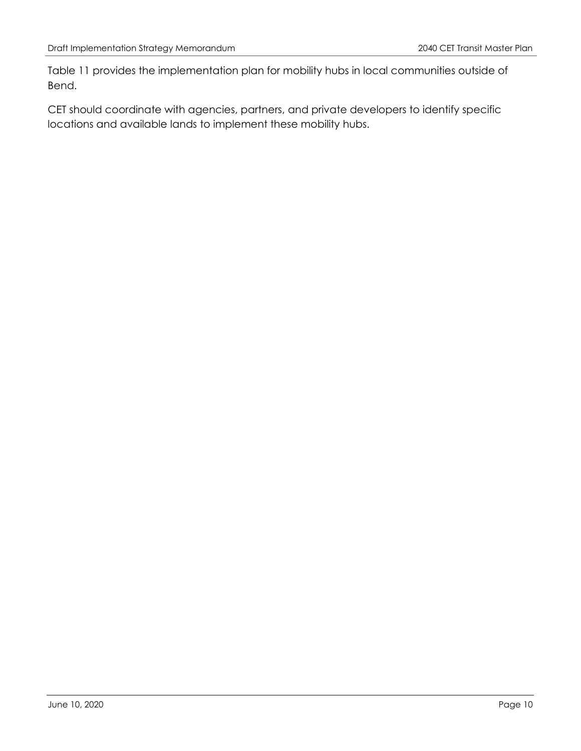Table 11 provides the implementation plan for mobility hubs in local communities outside of Bend.

CET should coordinate with agencies, partners, and private developers to identify specific locations and available lands to implement these mobility hubs.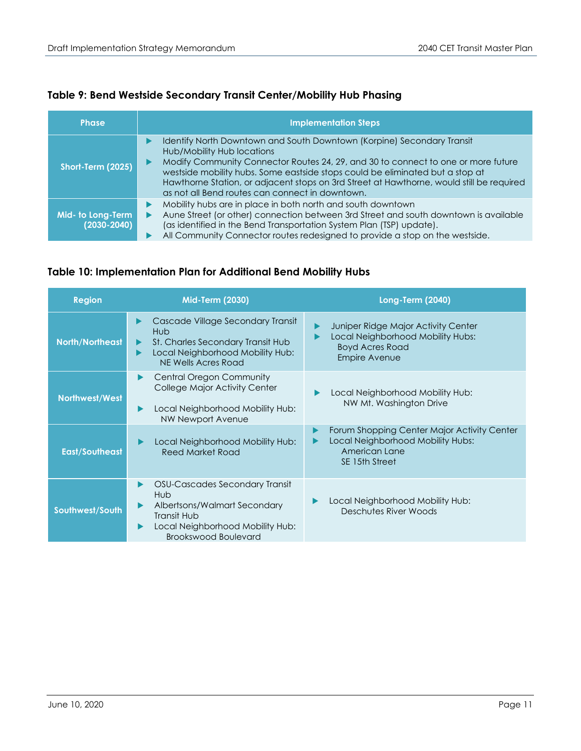# **Table 9: Bend Westside Secondary Transit Center/Mobility Hub Phasing**

| <b>Phase</b>                         | <b>Implementation Steps</b>                                                                                                                                                                                                                                                                                                                                                                                               |
|--------------------------------------|---------------------------------------------------------------------------------------------------------------------------------------------------------------------------------------------------------------------------------------------------------------------------------------------------------------------------------------------------------------------------------------------------------------------------|
| Short-Term (2025)                    | Identify North Downtown and South Downtown (Korpine) Secondary Transit<br>Hub/Mobility Hub locations<br>Modify Community Connector Routes 24, 29, and 30 to connect to one or more future<br>westside mobility hubs. Some eastside stops could be eliminated but a stop at<br>Hawthorne Station, or adjacent stops on 3rd Street at Hawthorne, would still be required<br>as not all Bend routes can connect in downtown. |
| Mid- to Long-Term<br>$(2030 - 2040)$ | Mobility hubs are in place in both north and south downtown<br>Aune Street (or other) connection between 3rd Street and south downtown is available<br>(as identified in the Bend Transportation System Plan (TSP) update).<br>All Community Connector routes redesigned to provide a stop on the westside.                                                                                                               |

#### **Table 10: Implementation Plan for Additional Bend Mobility Hubs**

| <b>Region</b>          | <b>Mid-Term (2030)</b>                                                                                                                                  | <b>Long-Term (2040)</b>                                                                                                    |
|------------------------|---------------------------------------------------------------------------------------------------------------------------------------------------------|----------------------------------------------------------------------------------------------------------------------------|
| <b>North/Northeast</b> | Cascade Village Secondary Transit<br>Hub.<br>St. Charles Secondary Transit Hub<br>Local Neighborhood Mobility Hub:<br>NE Wells Acres Road               | Juniper Ridge Major Activity Center<br>Local Neighborhood Mobility Hubs:<br><b>Boyd Acres Road</b><br><b>Empire Avenue</b> |
| Northwest/West         | <b>Central Oregon Community</b><br>College Major Activity Center<br>Local Neighborhood Mobility Hub:<br><b>NW Newport Avenue</b>                        | Local Neighborhood Mobility Hub:<br>NW Mt. Washington Drive                                                                |
| <b>East/Southeast</b>  | Local Neighborhood Mobility Hub:<br><b>Reed Market Road</b>                                                                                             | Forum Shopping Center Major Activity Center<br>Local Neighborhood Mobility Hubs:<br>American Lane<br>SE 15th Street        |
| Southwest/South        | OSU-Cascades Secondary Transit<br>Hub<br>Albertsons/Walmart Secondary<br>Transit Hub<br>Local Neighborhood Mobility Hub:<br><b>Brookswood Boulevard</b> | Local Neighborhood Mobility Hub:<br>Deschutes River Woods                                                                  |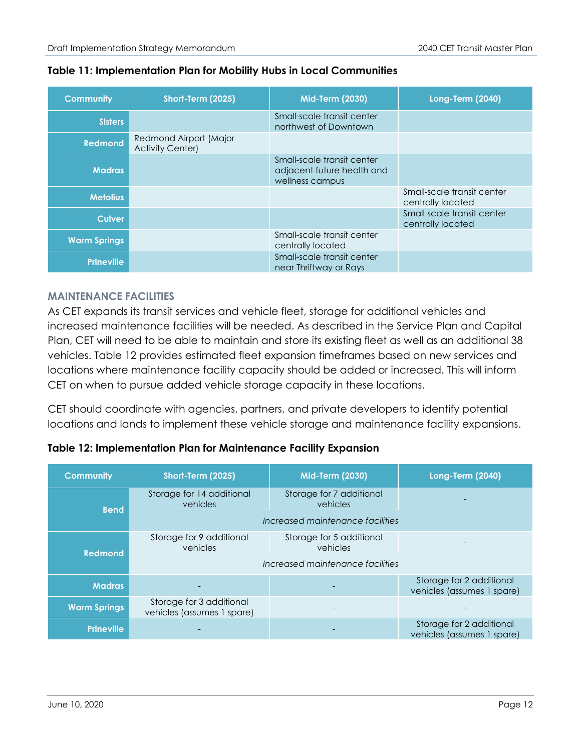#### **Table 11: Implementation Plan for Mobility Hubs in Local Communities**

| <b>Community</b>    | Short-Term (2025)                                 | <b>Mid-Term (2030)</b>                                                      | <b>Long-Term (2040)</b>                         |
|---------------------|---------------------------------------------------|-----------------------------------------------------------------------------|-------------------------------------------------|
| <b>Sisters</b>      |                                                   | Small-scale transit center<br>northwest of Downtown                         |                                                 |
| <b>Redmond</b>      | Redmond Airport (Major<br><b>Activity Center)</b> |                                                                             |                                                 |
| <b>Madras</b>       |                                                   | Small-scale transit center<br>adjacent future health and<br>wellness campus |                                                 |
| <b>Metolius</b>     |                                                   |                                                                             | Small-scale transit center<br>centrally located |
| <b>Culver</b>       |                                                   |                                                                             | Small-scale transit center<br>centrally located |
| <b>Warm Springs</b> |                                                   | Small-scale transit center<br>centrally located                             |                                                 |
| <b>Prineville</b>   |                                                   | Small-scale transit center<br>near Thriftway or Rays                        |                                                 |

# **MAINTENANCE FACILITIES**

As CET expands its transit services and vehicle fleet, storage for additional vehicles and increased maintenance facilities will be needed. As described in the Service Plan and Capital Plan, CET will need to be able to maintain and store its existing fleet as well as an additional 38 vehicles. Table 12 provides estimated fleet expansion timeframes based on new services and locations where maintenance facility capacity should be added or increased. This will inform CET on when to pursue added vehicle storage capacity in these locations.

CET should coordinate with agencies, partners, and private developers to identify potential locations and lands to implement these vehicle storage and maintenance facility expansions.

# **Table 12: Implementation Plan for Maintenance Facility Expansion**

| <b>Community</b>    | Short-Term (2025)                                                            | <b>Mid-Term (2030)</b>               | <b>Long-Term (2040)</b>                                |  |  |  |  |
|---------------------|------------------------------------------------------------------------------|--------------------------------------|--------------------------------------------------------|--|--|--|--|
| <b>Bend</b>         | Storage for 14 additional<br>vehicles                                        | Storage for 7 additional<br>vehicles |                                                        |  |  |  |  |
|                     |                                                                              | Increased maintenance facilities     |                                                        |  |  |  |  |
| <b>Redmond</b>      | Storage for 9 additional<br>Storage for 5 additional<br>vehicles<br>vehicles |                                      |                                                        |  |  |  |  |
|                     | Increased maintenance facilities                                             |                                      |                                                        |  |  |  |  |
| <b>Madras</b>       |                                                                              |                                      | Storage for 2 additional<br>vehicles (assumes 1 spare) |  |  |  |  |
| <b>Warm Springs</b> | Storage for 3 additional<br>vehicles (assumes 1 spare)                       |                                      |                                                        |  |  |  |  |
| <b>Prineville</b>   |                                                                              |                                      | Storage for 2 additional<br>vehicles (assumes 1 spare) |  |  |  |  |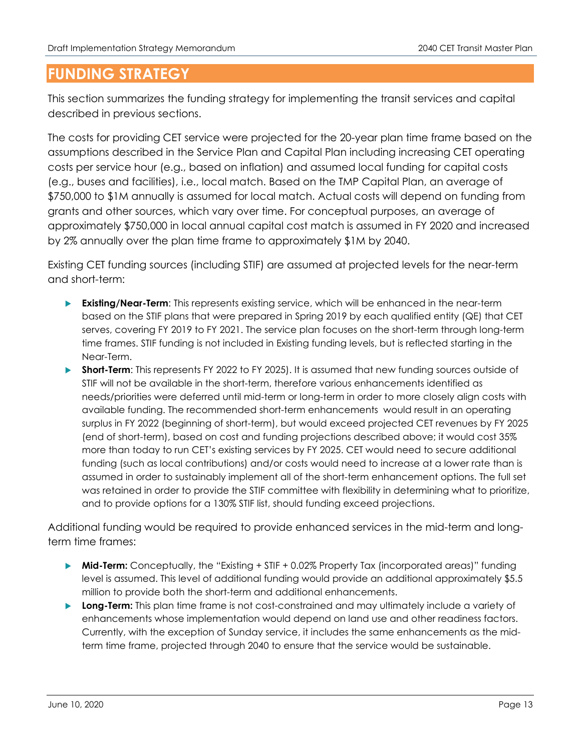# **FUNDING STRATEGY**

This section summarizes the funding strategy for implementing the transit services and capital described in previous sections.

The costs for providing CET service were projected for the 20-year plan time frame based on the assumptions described in the Service Plan and Capital Plan including increasing CET operating costs per service hour (e.g., based on inflation) and assumed local funding for capital costs (e.g., buses and facilities), i.e., local match. Based on the TMP Capital Plan, an average of \$750,000 to \$1M annually is assumed for local match. Actual costs will depend on funding from grants and other sources, which vary over time. For conceptual purposes, an average of approximately \$750,000 in local annual capital cost match is assumed in FY 2020 and increased by 2% annually over the plan time frame to approximately \$1M by 2040.

Existing CET funding sources (including STIF) are assumed at projected levels for the near-term and short-term:

- **Existing/Near-Term:** This represents existing service, which will be enhanced in the near-term based on the STIF plans that were prepared in Spring 2019 by each qualified entity (QE) that CET serves, covering FY 2019 to FY 2021. The service plan focuses on the short-term through long-term time frames. STIF funding is not included in Existing funding levels, but is reflected starting in the Near-Term.
- **Short-Term:** This represents FY 2022 to FY 2025). It is assumed that new funding sources outside of STIF will not be available in the short-term, therefore various enhancements identified as needs/priorities were deferred until mid-term or long-term in order to more closely align costs with available funding. The recommended short-term enhancements would result in an operating surplus in FY 2022 (beginning of short-term), but would exceed projected CET revenues by FY 2025 (end of short-term), based on cost and funding projections described above; it would cost 35% more than today to run CET's existing services by FY 2025. CET would need to secure additional funding (such as local contributions) and/or costs would need to increase at a lower rate than is assumed in order to sustainably implement all of the short-term enhancement options. The full set was retained in order to provide the STIF committee with flexibility in determining what to prioritize, and to provide options for a 130% STIF list, should funding exceed projections.

Additional funding would be required to provide enhanced services in the mid-term and longterm time frames:

- **► Mid-Term:** Conceptually, the "Existing + STIF + 0.02% Property Tax (incorporated areas)" funding level is assumed. This level of additional funding would provide an additional approximately \$5.5 million to provide both the short-term and additional enhancements.
- **Long-Term:** This plan time frame is not cost-constrained and may ultimately include a variety of enhancements whose implementation would depend on land use and other readiness factors. Currently, with the exception of Sunday service, it includes the same enhancements as the midterm time frame, projected through 2040 to ensure that the service would be sustainable.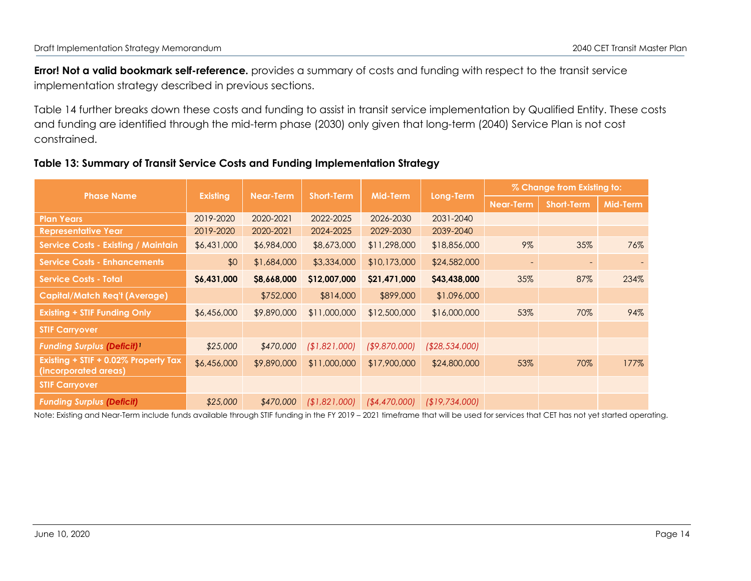**Error! Not a valid bookmark self-reference.** provides a summary of costs and funding with respect to the transit service implementation strategy described in previous sections.

Table 14 further breaks down these costs and funding to assist in transit service implementation by Qualified Entity. These costs and funding are identified through the mid-term phase (2030) only given that long-term (2040) Service Plan is not cost constrained.

#### **Table 13: Summary of Transit Service Costs and Funding Implementation Strategy**

|                                                              |                 |                  |                   |                |                 | % Change from Existing to: |                   |          |  |
|--------------------------------------------------------------|-----------------|------------------|-------------------|----------------|-----------------|----------------------------|-------------------|----------|--|
| <b>Phase Name</b>                                            | <b>Existing</b> | <b>Near-Term</b> | <b>Short-Term</b> | Mid-Term       | Long-Term       | <b>Near-Term</b>           | <b>Short-Term</b> | Mid-Term |  |
| <b>Plan Years</b>                                            | 2019-2020       | 2020-2021        | 2022-2025         | 2026-2030      | 2031-2040       |                            |                   |          |  |
| <b>Representative Year</b>                                   | 2019-2020       | 2020-2021        | 2024-2025         | 2029-2030      | 2039-2040       |                            |                   |          |  |
| <b>Service Costs - Existing / Maintain</b>                   | \$6,431,000     | \$6,984,000      | \$8,673,000       | \$11,298,000   | \$18,856,000    | $9\%$                      | 35%               | 76%      |  |
| <b>Service Costs - Enhancements</b>                          | \$0             | \$1,684,000      | \$3,334,000       | \$10,173,000   | \$24,582,000    | $\overline{\phantom{a}}$   |                   |          |  |
| <b>Service Costs - Total</b>                                 | \$6,431,000     | \$8,668,000      | \$12,007,000      | \$21,471,000   | \$43,438,000    | 35%                        | 87%               | 234%     |  |
| <b>Capital/Match Req't (Average)</b>                         |                 | \$752,000        | \$814,000         | \$899,000      | \$1.096,000     |                            |                   |          |  |
| <b>Existing + STIF Funding Only</b>                          | \$6,456,000     | \$9,890,000      | \$11,000,000      | \$12,500,000   | \$16,000,000    | 53%                        | 70%               | 94%      |  |
| <b>STIF Carryover</b>                                        |                 |                  |                   |                |                 |                            |                   |          |  |
| <b>Funding Surplus (Deficit)</b>                             | \$25,000        | \$470,000        | (\$1,821,000]     | ( \$9,870,000] | ( \$28,534,000] |                            |                   |          |  |
| Existing + STIF + 0.02% Property Tax<br>(incorporated areas) | \$6,456,000     | \$9,890,000      | \$11,000,000      | \$17,900,000   | \$24,800,000    | 53%                        | 70%               | 177%     |  |
| <b>STIF Carryover</b>                                        |                 |                  |                   |                |                 |                            |                   |          |  |
| <b>Funding Surplus (Deficit)</b>                             | \$25,000        | \$470,000        | (\$1,821,000]     | ( \$4,470,000] | (19,734,000)    |                            |                   |          |  |

Note: Existing and Near-Term include funds available through STIF funding in the FY 2019 – 2021 timeframe that will be used for services that CET has not yet started operating.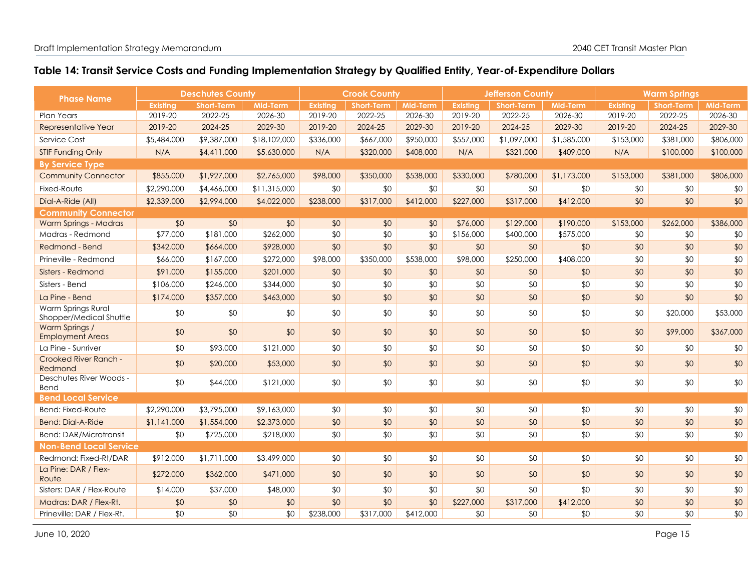# **Table 14: Transit Service Costs and Funding Implementation Strategy by Qualified Entity, Year-of-Expenditure Dollars**

| <b>Phase Name</b>                             | <b>Deschutes County</b> |                   | <b>Crook County</b> |                 |                   | <b>Jefferson County</b> |                 |                   | <b>Warm Springs</b> |           |                   |                 |
|-----------------------------------------------|-------------------------|-------------------|---------------------|-----------------|-------------------|-------------------------|-----------------|-------------------|---------------------|-----------|-------------------|-----------------|
|                                               | <b>Existina</b>         | <b>Short-Term</b> | Mid-Term            | <b>Existina</b> | <b>Short-Term</b> | <b>Mid-Term</b>         | <b>Existina</b> | <b>Short-Term</b> | Mid-Term            | Existina  | <b>Short-Term</b> | Mid-Term        |
| <b>Plan Years</b>                             | 2019-20                 | 2022-25           | 2026-30             | 2019-20         | 2022-25           | 2026-30                 | 2019-20         | 2022-25           | 2026-30             | 2019-20   | 2022-25           | 2026-30         |
| Representative Year                           | 2019-20                 | 2024-25           | 2029-30             | 2019-20         | 2024-25           | 2029-30                 | 2019-20         | 2024-25           | 2029-30             | 2019-20   | 2024-25           | 2029-30         |
| Service Cost                                  | \$5,484,000             | \$9,387,000       | \$18,102,000        | \$336,000       | \$667,000         | \$950,000               | \$557,000       | \$1,097,000       | \$1,585,000         | \$153,000 | \$381,000         | \$806,000       |
| <b>STIF Funding Only</b>                      | N/A                     | \$4,411,000       | \$5,630,000         | N/A             | \$320,000         | \$408,000               | N/A             | \$321,000         | \$409,000           | N/A       | \$100,000         | \$100,000       |
| <b>By Service Type</b>                        |                         |                   |                     |                 |                   |                         |                 |                   |                     |           |                   |                 |
| <b>Community Connector</b>                    | \$855,000               | \$1,927,000       | \$2,765,000         | \$98,000        | \$350,000         | \$538,000               | \$330,000       | \$780,000         | \$1,173,000         | \$153,000 | \$381,000         | \$806,000       |
| Fixed-Route                                   | \$2,290,000             | \$4,466,000       | \$11,315,000        | \$0             | \$0               | \$0                     | \$0             | \$0               | \$0                 | \$0       | \$0               | \$0             |
| Dial-A-Ride (All)                             | \$2,339,000             | \$2,994,000       | \$4,022,000         | \$238,000       | \$317,000         | \$412,000               | \$227,000       | \$317,000         | \$412,000           | \$0       | \$0               | \$0             |
| <b>Community Connector</b>                    |                         |                   |                     |                 |                   |                         |                 |                   |                     |           |                   |                 |
| Warm Springs - Madras                         | \$0                     | \$0               | \$0                 | \$0             | \$0               | \$0                     | \$76,000        | \$129,000         | \$190,000           | \$153,000 | \$262,000         | \$386,000       |
| Madras - Redmond                              | \$77,000                | \$181,000         | \$262,000           | \$0             | \$0               | \$0                     | \$156,000       | \$400,000         | \$575,000           | \$0       | \$0               | \$0             |
| Redmond - Bend                                | \$342,000               | \$664,000         | \$928,000           | \$0             | \$0               | \$0                     | \$0             | \$0               | \$0                 | \$0       | \$0               | \$0             |
| Prineville - Redmond                          | \$66,000                | \$167,000         | \$272,000           | \$98,000        | \$350,000         | \$538,000               | \$98,000        | \$250,000         | \$408,000           | \$0       | \$0               | \$0             |
| Sisters - Redmond                             | \$91,000                | \$155,000         | \$201,000           | \$0             | \$0               | \$0                     | \$0             | \$0               | \$0                 | \$0       | \$0               | \$0             |
| Sisters - Bend                                | \$106,000               | \$246,000         | \$344,000           | \$0             | \$0               | \$0                     | \$0             | \$0               | \$0                 | \$0       | \$0               | \$0             |
| La Pine - Bend                                | \$174,000               | \$357,000         | \$463,000           | \$0             | \$0               | \$0                     | \$0             | \$0               | \$0                 | \$0       | \$0               | \$0             |
| Warm Springs Rural<br>Shopper/Medical Shuttle | \$0                     | \$0               | \$0                 | \$0             | \$0               | \$0                     | \$0             | \$0               | \$0                 | \$0       | \$20,000          | \$53,000        |
| Warm Springs /<br><b>Employment Areas</b>     | \$0                     | \$0               | \$0                 | \$0             | \$0               | \$0                     | \$0             | \$0               | \$0                 | \$0       | \$99,000          | \$367,000       |
| La Pine - Sunriver                            | \$0                     | \$93,000          | \$121,000           | \$0             | \$0               | \$0                     | \$0             | \$0               | \$0                 | \$0       | \$0               | \$0             |
| Crooked River Ranch -<br>Redmond              | \$0                     | \$20,000          | \$53,000            | \$0             | \$0               | \$0                     | \$0             | \$0               | \$0                 | \$0       | \$0               | \$0             |
| Deschutes River Woods -<br>Bend               | \$0                     | \$44,000          | \$121,000           | \$0             | \$0               | \$0                     | \$0             | \$0               | \$0                 | \$0       | \$0               | \$0             |
| <b>Bend Local Service</b>                     |                         |                   |                     |                 |                   |                         |                 |                   |                     |           |                   |                 |
| Bend: Fixed-Route                             | \$2,290,000             | \$3,795,000       | \$9,163,000         | \$0             | \$0               | \$0                     | \$0             | \$0               | \$0                 | \$0       | \$0               | \$0             |
| <b>Bend: Dial-A-Ride</b>                      | \$1,141,000             | \$1,554,000       | \$2,373,000         | \$0             | \$0               | \$0                     | \$0             | \$0               | \$0                 | \$0       | \$0               | \$0             |
| <b>Bend: DAR/Microtransit</b>                 | \$0                     | \$725,000         | \$218,000           | \$0             | \$0               | \$0                     | \$0             | \$0               | \$0                 | \$0       | \$0               | \$0             |
| <b>Non-Bend Local Service</b>                 |                         |                   |                     |                 |                   |                         |                 |                   |                     |           |                   |                 |
| Redmond: Fixed-Rt/DAR                         | \$912,000               | \$1,711,000       | \$3,499,000         | \$0             | \$0               | \$0                     | \$0             | \$0               | \$0                 | \$0       | \$0               | \$0             |
| La Pine: DAR / Flex-<br>Route                 | \$272,000               | \$362,000         | \$471,000           | \$0             | \$0               | \$0                     | \$0             | \$0               | \$0                 | \$0       | \$0               | \$0             |
| Sisters: DAR / Flex-Route                     | \$14,000                | \$37,000          | \$48,000            | \$0             | \$0               | \$0                     | \$0             | \$0               | \$0                 | \$0       | \$0               | \$0             |
| Madras: DAR / Flex-Rt.                        | \$0                     | \$0               | \$0                 | \$0             | \$0               | \$0                     | \$227,000       | \$317,000         | \$412,000           | \$0       | \$0               | \$0             |
| Prineville: DAR / Flex-Rt.                    | \$0                     | \$0               | \$0                 | \$238,000       | \$317,000         | \$412,000               | \$0             | \$0               | \$0                 | \$0       | \$0               | $\overline{50}$ |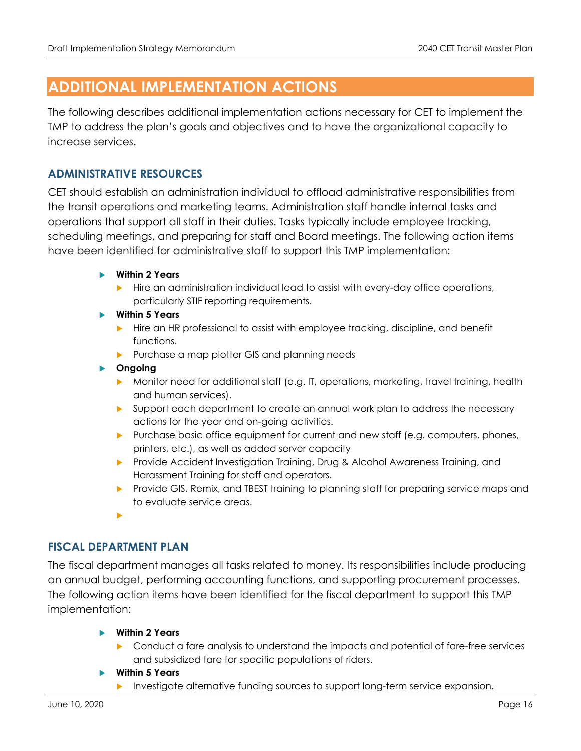# **ADDITIONAL IMPLEMENTATION ACTIONS**

The following describes additional implementation actions necessary for CET to implement the TMP to address the plan's goals and objectives and to have the organizational capacity to increase services.

# **ADMINISTRATIVE RESOURCES**

CET should establish an administration individual to offload administrative responsibilities from the transit operations and marketing teams. Administration staff handle internal tasks and operations that support all staff in their duties. Tasks typically include employee tracking, scheduling meetings, and preparing for staff and Board meetings. The following action items have been identified for administrative staff to support this TMP implementation:

- **Within 2 Years** 
	- $\blacktriangleright$  Hire an administration individual lead to assist with every-day office operations, particularly STIF reporting requirements.
- **Within 5 Years** 
	- **Hire an HR professional to assist with employee tracking, discipline, and benefit** functions.
	- Purchase a map plotter GIS and planning needs

#### **Ongoing**

- Monitor need for additional staff (e.g. IT, operations, marketing, travel training, health and human services).
- **Support each department to create an annual work plan to address the necessary** actions for the year and on-going activities.
- Purchase basic office equipment for current and new staff (e.g. computers, phones, printers, etc.), as well as added server capacity
- Provide Accident Investigation Training, Drug & Alcohol Awareness Training, and Harassment Training for staff and operators.
- **Provide GIS, Remix, and TBEST training to planning staff for preparing service maps and** to evaluate service areas.
- ь

# **FISCAL DEPARTMENT PLAN**

The fiscal department manages all tasks related to money. Its responsibilities include producing an annual budget, performing accounting functions, and supporting procurement processes. The following action items have been identified for the fiscal department to support this TMP implementation:

- **Within 2 Years** 
	- **Conduct a fare analysis to understand the impacts and potential of fare-free services** and subsidized fare for specific populations of riders.
- **Within 5 Years** 
	- Investigate alternative funding sources to support long-term service expansion.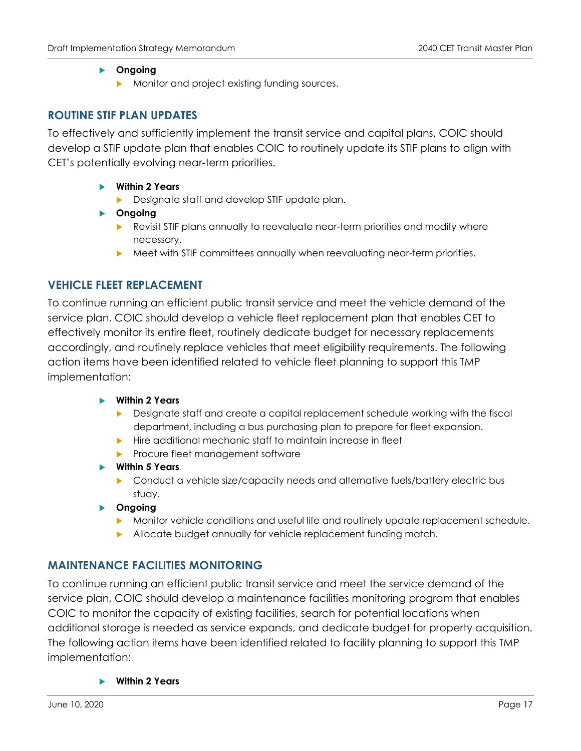#### **Ongoing**

Monitor and project existing funding sources.

#### **ROUTINE STIF PLAN UPDATES**

To effectively and sufficiently implement the transit service and capital plans, COIC should develop a STIF update plan that enables COIC to routinely update its STIF plans to align with CET's potentially evolving near-term priorities.

- **Within 2 Years** 
	- **Designate staff and develop STIF update plan.**
- **Ongoing** 
	- **Revisit STIF plans annually to reevaluate near-term priorities and modify where** necessary.
	- Meet with STIF committees annually when reevaluating near-term priorities.

# **VEHICLE FLEET REPLACEMENT**

To continue running an efficient public transit service and meet the vehicle demand of the service plan, COIC should develop a vehicle fleet replacement plan that enables CET to effectively monitor its entire fleet, routinely dedicate budget for necessary replacements accordingly, and routinely replace vehicles that meet eligibility requirements. The following action items have been identified related to vehicle fleet planning to support this TMP implementation:

#### **Within 2 Years**

- Designate staff and create a capital replacement schedule working with the fiscal department, including a bus purchasing plan to prepare for fleet expansion.
- $\blacktriangleright$  Hire additional mechanic staff to maintain increase in fleet
- Procure fleet management software
- **Within 5 Years** 
	- **•** Conduct a vehicle size/capacity needs and alternative fuels/battery electric bus study.
- **Ongoing** 
	- Monitor vehicle conditions and useful life and routinely update replacement schedule.
	- Allocate budget annually for vehicle replacement funding match.

# **MAINTENANCE FACILITIES MONITORING**

To continue running an efficient public transit service and meet the service demand of the service plan, COIC should develop a maintenance facilities monitoring program that enables COIC to monitor the capacity of existing facilities, search for potential locations when additional storage is needed as service expands, and dedicate budget for property acquisition. The following action items have been identified related to facility planning to support this TMP implementation:

**Within 2 Years**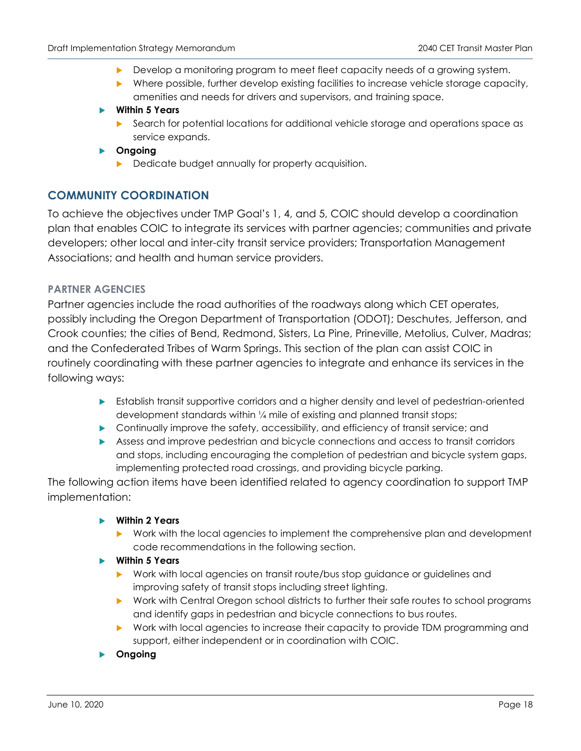- Develop a monitoring program to meet fleet capacity needs of a growing system.
- Where possible, further develop existing facilities to increase vehicle storage capacity, amenities and needs for drivers and supervisors, and training space.

#### **Within 5 Years**

**Search for potential locations for additional vehicle storage and operations space as** service expands.

#### **Ongoing**

Dedicate budget annually for property acquisition.

# **COMMUNITY COORDINATION**

To achieve the objectives under TMP Goal's 1, 4, and 5, COIC should develop a coordination plan that enables COIC to integrate its services with partner agencies; communities and private developers; other local and inter-city transit service providers; Transportation Management Associations; and health and human service providers.

#### **PARTNER AGENCIES**

Partner agencies include the road authorities of the roadways along which CET operates, possibly including the Oregon Department of Transportation (ODOT); Deschutes, Jefferson, and Crook counties; the cities of Bend, Redmond, Sisters, La Pine, Prineville, Metolius, Culver, Madras; and the Confederated Tribes of Warm Springs. This section of the plan can assist COIC in routinely coordinating with these partner agencies to integrate and enhance its services in the following ways:

- Establish transit supportive corridors and a higher density and level of pedestrian-oriented development standards within ¼ mile of existing and planned transit stops;
- **Continually improve the safety, accessibility, and efficiency of transit service; and**
- Assess and improve pedestrian and bicycle connections and access to transit corridors and stops, including encouraging the completion of pedestrian and bicycle system gaps, implementing protected road crossings, and providing bicycle parking.

The following action items have been identified related to agency coordination to support TMP implementation:

#### **Within 2 Years**

 Work with the local agencies to implement the comprehensive plan and development code recommendations in the following section.

#### **Within 5 Years**

- Work with local agencies on transit route/bus stop guidance or guidelines and improving safety of transit stops including street lighting.
- Work with Central Oregon school districts to further their safe routes to school programs and identify gaps in pedestrian and bicycle connections to bus routes.
- Work with local agencies to increase their capacity to provide TDM programming and support, either independent or in coordination with COIC.
- **Ongoing**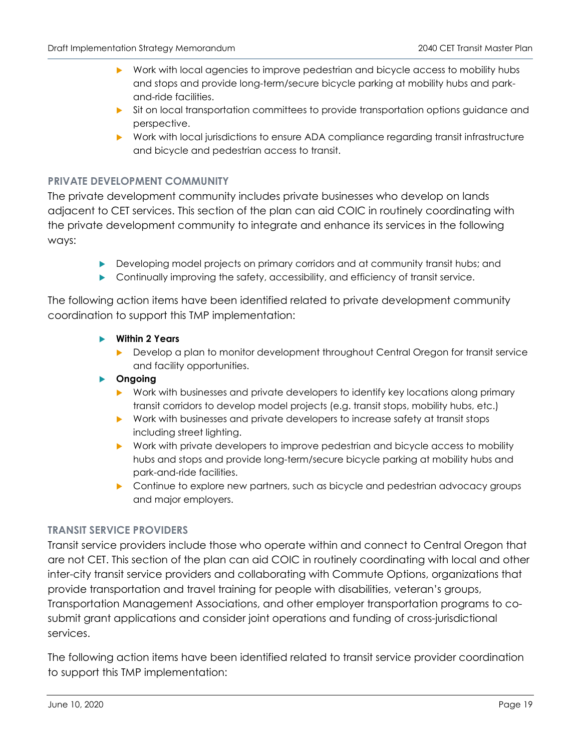- Work with local agencies to improve pedestrian and bicycle access to mobility hubs and stops and provide long-term/secure bicycle parking at mobility hubs and parkand-ride facilities.
- **Sit on local transportation committees to provide transportation options guidance and** perspective.
- Work with local jurisdictions to ensure ADA compliance regarding transit infrastructure and bicycle and pedestrian access to transit.

# **PRIVATE DEVELOPMENT COMMUNITY**

The private development community includes private businesses who develop on lands adjacent to CET services. This section of the plan can aid COIC in routinely coordinating with the private development community to integrate and enhance its services in the following ways:

- Developing model projects on primary corridors and at community transit hubs; and
- Continually improving the safety, accessibility, and efficiency of transit service.

The following action items have been identified related to private development community coordination to support this TMP implementation:

- **Within 2 Years** 
	- Develop a plan to monitor development throughout Central Oregon for transit service and facility opportunities.

#### **Ongoing**

- Work with businesses and private developers to identify key locations along primary transit corridors to develop model projects (e.g. transit stops, mobility hubs, etc.)
- Work with businesses and private developers to increase safety at transit stops including street lighting.
- ▶ Work with private developers to improve pedestrian and bicycle access to mobility hubs and stops and provide long-term/secure bicycle parking at mobility hubs and park-and-ride facilities.
- **•** Continue to explore new partners, such as bicycle and pedestrian advocacy groups and major employers.

# **TRANSIT SERVICE PROVIDERS**

Transit service providers include those who operate within and connect to Central Oregon that are not CET. This section of the plan can aid COIC in routinely coordinating with local and other inter-city transit service providers and collaborating with Commute Options, organizations that provide transportation and travel training for people with disabilities, veteran's groups, Transportation Management Associations, and other employer transportation programs to cosubmit grant applications and consider joint operations and funding of cross-jurisdictional services.

The following action items have been identified related to transit service provider coordination to support this TMP implementation: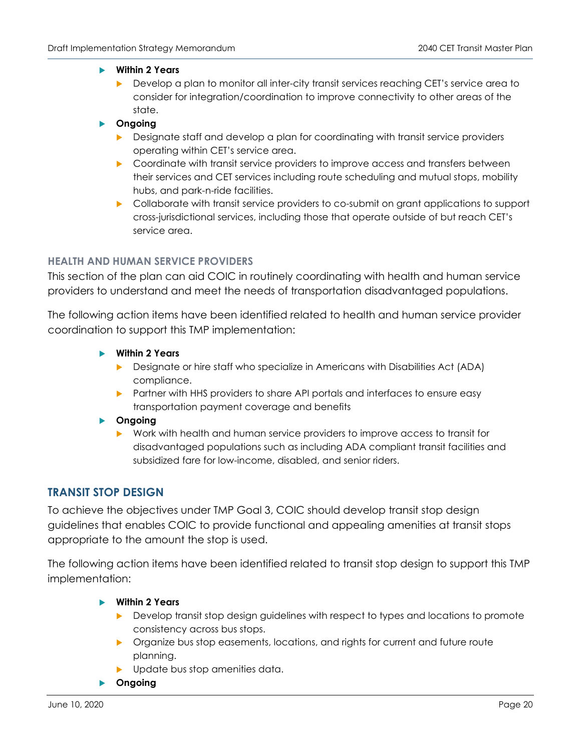#### **Within 2 Years**

- Develop a plan to monitor all inter-city transit services reaching CET's service area to consider for integration/coordination to improve connectivity to other areas of the state.
- **Ongoing** 
	- Designate staff and develop a plan for coordinating with transit service providers operating within CET's service area.
	- **D** Coordinate with transit service providers to improve access and transfers between their services and CET services including route scheduling and mutual stops, mobility hubs, and park-n-ride facilities.
	- **Collaborate with transit service providers to co-submit on grant applications to support** cross-jurisdictional services, including those that operate outside of but reach CET's service area.

#### **HEALTH AND HUMAN SERVICE PROVIDERS**

This section of the plan can aid COIC in routinely coordinating with health and human service providers to understand and meet the needs of transportation disadvantaged populations.

The following action items have been identified related to health and human service provider coordination to support this TMP implementation:

- **Within 2 Years** 
	- Designate or hire staff who specialize in Americans with Disabilities Act (ADA) compliance.
	- **Partner with HHS providers to share API portals and interfaces to ensure easy** transportation payment coverage and benefits
- **Ongoing** 
	- Work with health and human service providers to improve access to transit for disadvantaged populations such as including ADA compliant transit facilities and subsidized fare for low-income, disabled, and senior riders.

# **TRANSIT STOP DESIGN**

To achieve the objectives under TMP Goal 3, COIC should develop transit stop design guidelines that enables COIC to provide functional and appealing amenities at transit stops appropriate to the amount the stop is used.

The following action items have been identified related to transit stop design to support this TMP implementation:

- **Within 2 Years** 
	- Develop transit stop design guidelines with respect to types and locations to promote consistency across bus stops.
	- **Dreamize bus stop easements, locations, and rights for current and future route** planning.
	- **Demonstrate bus stop amenities data.**
- **Ongoing**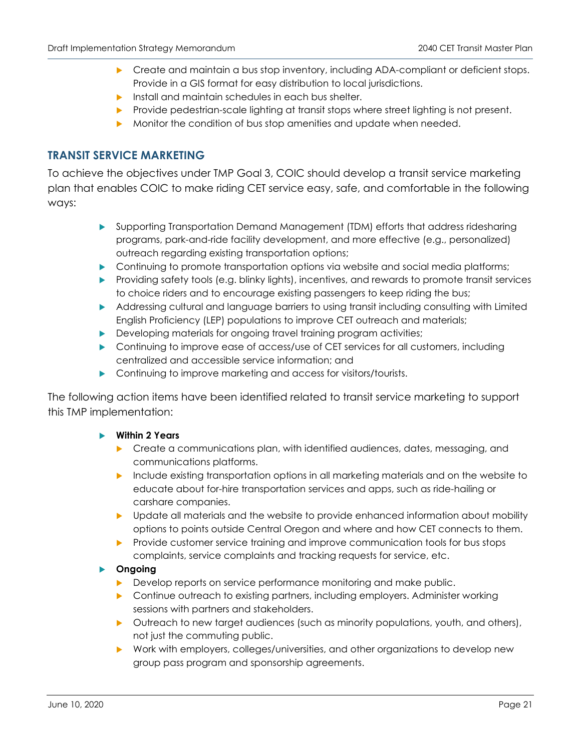- **Create and maintain a bus stop inventory, including ADA-compliant or deficient stops.** Provide in a GIS format for easy distribution to local jurisdictions.
- **Install and maintain schedules in each bus shelter.**
- **Provide pedestrian-scale lighting at transit stops where street lighting is not present.**
- Monitor the condition of bus stop amenities and update when needed.

# **TRANSIT SERVICE MARKETING**

To achieve the objectives under TMP Goal 3, COIC should develop a transit service marketing plan that enables COIC to make riding CET service easy, safe, and comfortable in the following ways:

- Supporting Transportation Demand Management (TDM) efforts that address ridesharing programs, park-and-ride facility development, and more effective (e.g., personalized) outreach regarding existing transportation options;
- **Continuing to promote transportation options via website and social media platforms;**
- **Providing safety tools (e.g. blinky lights), incentives, and rewards to promote transit services** to choice riders and to encourage existing passengers to keep riding the bus;
- Addressing cultural and language barriers to using transit including consulting with Limited English Proficiency (LEP) populations to improve CET outreach and materials;
- Developing materials for ongoing travel training program activities;
- Continuing to improve ease of access/use of CET services for all customers, including centralized and accessible service information; and
- **Continuing to improve marketing and access for visitors/tourists.**

The following action items have been identified related to transit service marketing to support this TMP implementation:

#### **Within 2 Years**

- **Create a communications plan, with identified audiences, dates, messaging, and** communications platforms.
- Include existing transportation options in all marketing materials and on the website to educate about for-hire transportation services and apps, such as ride-hailing or carshare companies.
- **Demographs** Update all materials and the website to provide enhanced information about mobility options to points outside Central Oregon and where and how CET connects to them.
- Provide customer service training and improve communication tools for bus stops complaints, service complaints and tracking requests for service, etc.

#### **Ongoing**

- **Develop reports on service performance monitoring and make public.**
- **D** Continue outreach to existing partners, including employers. Administer working sessions with partners and stakeholders.
- ▶ Outreach to new target audiences (such as minority populations, youth, and others), not just the commuting public.
- Work with employers, colleges/universities, and other organizations to develop new group pass program and sponsorship agreements.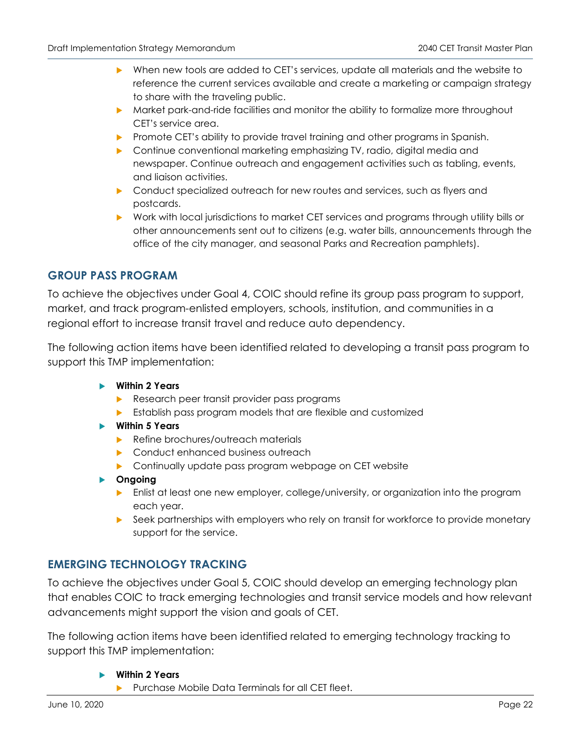- When new tools are added to CET's services, update all materials and the website to reference the current services available and create a marketing or campaign strategy to share with the traveling public.
- **Market park-and-ride facilities and monitor the ability to formalize more throughout** CET's service area.
- **Promote CET's ability to provide travel training and other programs in Spanish.**
- **•** Continue conventional marketing emphasizing TV, radio, digital media and newspaper. Continue outreach and engagement activities such as tabling, events, and liaison activities.
- **D** Conduct specialized outreach for new routes and services, such as flyers and postcards.
- Work with local jurisdictions to market CET services and programs through utility bills or other announcements sent out to citizens (e.g. water bills, announcements through the office of the city manager, and seasonal Parks and Recreation pamphlets).

# **GROUP PASS PROGRAM**

To achieve the objectives under Goal 4, COIC should refine its group pass program to support, market, and track program-enlisted employers, schools, institution, and communities in a regional effort to increase transit travel and reduce auto dependency.

The following action items have been identified related to developing a transit pass program to support this TMP implementation:

- **Within 2 Years** 
	- Research peer transit provider pass programs
	- **Establish pass program models that are flexible and customized**
- **Within 5 Years** 
	- Refine brochures/outreach materials
	- Conduct enhanced business outreach
	- **Continually update pass program webpage on CET website**
- **Ongoing** 
	- **E** Enlist at least one new employer, college/university, or organization into the program each year.
	- Seek partnerships with employers who rely on transit for workforce to provide monetary support for the service.

# **EMERGING TECHNOLOGY TRACKING**

To achieve the objectives under Goal 5, COIC should develop an emerging technology plan that enables COIC to track emerging technologies and transit service models and how relevant advancements might support the vision and goals of CET.

The following action items have been identified related to emerging technology tracking to support this TMP implementation:

#### **Within 2 Years**

Purchase Mobile Data Terminals for all CET fleet.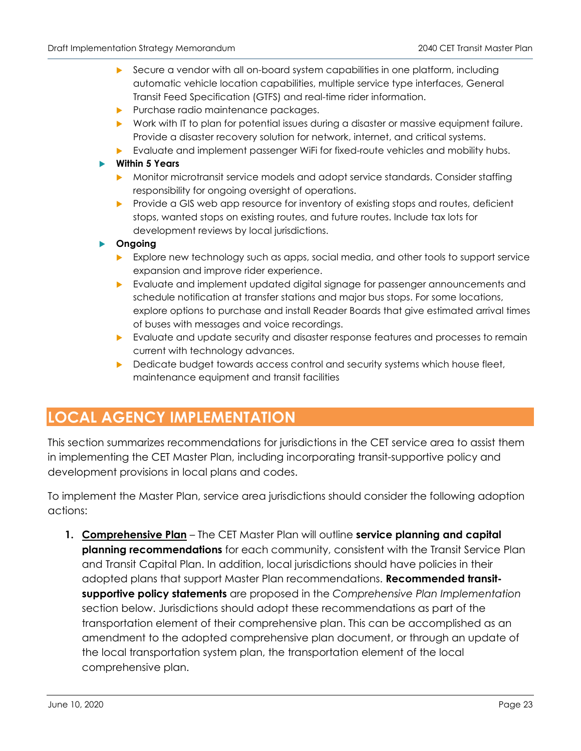- Secure a vendor with all on-board system capabilities in one platform, including automatic vehicle location capabilities, multiple service type interfaces, General Transit Feed Specification (GTFS) and real-time rider information.
- Purchase radio maintenance packages.
- Work with IT to plan for potential issues during a disaster or massive equipment failure. Provide a disaster recovery solution for network, internet, and critical systems.
- **Evaluate and implement passenger WiFi for fixed-route vehicles and mobility hubs.**

#### **Within 5 Years**

- Monitor microtransit service models and adopt service standards. Consider staffing responsibility for ongoing oversight of operations.
- Provide a GIS web app resource for inventory of existing stops and routes, deficient stops, wanted stops on existing routes, and future routes. Include tax lots for development reviews by local jurisdictions.

#### **Ongoing**

- **Explore new technology such as apps, social media, and other tools to support service** expansion and improve rider experience.
- Evaluate and implement updated digital signage for passenger announcements and schedule notification at transfer stations and major bus stops. For some locations, explore options to purchase and install Reader Boards that give estimated arrival times of buses with messages and voice recordings.
- Evaluate and update security and disaster response features and processes to remain current with technology advances.
- Dedicate budget towards access control and security systems which house fleet, maintenance equipment and transit facilities

# **LOCAL AGENCY IMPLEMENTATION**

This section summarizes recommendations for jurisdictions in the CET service area to assist them in implementing the CET Master Plan, including incorporating transit-supportive policy and development provisions in local plans and codes.

To implement the Master Plan, service area jurisdictions should consider the following adoption actions:

1. **Comprehensive Plan** - The CET Master Plan will outline service planning and capital **planning recommendations** for each community, consistent with the Transit Service Plan and Transit Capital Plan. In addition, local jurisdictions should have policies in their adopted plans that support Master Plan recommendations. **Recommended transitsupportive policy statements** are proposed in the *Comprehensive Plan Implementation* section below. Jurisdictions should adopt these recommendations as part of the transportation element of their comprehensive plan. This can be accomplished as an amendment to the adopted comprehensive plan document, or through an update of the local transportation system plan, the transportation element of the local comprehensive plan.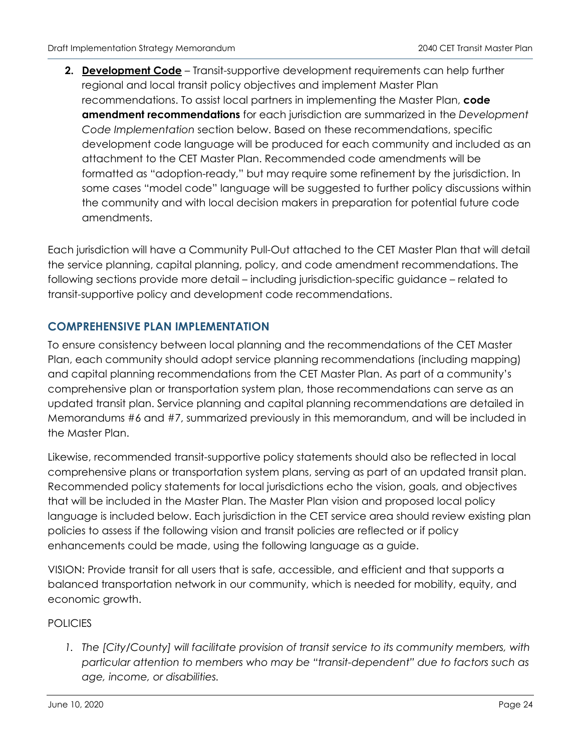**2. Development Code** – Transit-supportive development requirements can help further regional and local transit policy objectives and implement Master Plan recommendations. To assist local partners in implementing the Master Plan, **code amendment recommendations** for each jurisdiction are summarized in the *Development Code Implementation* section below. Based on these recommendations, specific development code language will be produced for each community and included as an attachment to the CET Master Plan. Recommended code amendments will be formatted as "adoption-ready," but may require some refinement by the jurisdiction. In some cases "model code" language will be suggested to further policy discussions within the community and with local decision makers in preparation for potential future code amendments.

Each jurisdiction will have a Community Pull-Out attached to the CET Master Plan that will detail the service planning, capital planning, policy, and code amendment recommendations. The following sections provide more detail – including jurisdiction-specific guidance – related to transit-supportive policy and development code recommendations.

# **COMPREHENSIVE PLAN IMPLEMENTATION**

To ensure consistency between local planning and the recommendations of the CET Master Plan, each community should adopt service planning recommendations (including mapping) and capital planning recommendations from the CET Master Plan. As part of a community's comprehensive plan or transportation system plan, those recommendations can serve as an updated transit plan. Service planning and capital planning recommendations are detailed in Memorandums #6 and #7, summarized previously in this memorandum, and will be included in the Master Plan.

Likewise, recommended transit-supportive policy statements should also be reflected in local comprehensive plans or transportation system plans, serving as part of an updated transit plan. Recommended policy statements for local jurisdictions echo the vision, goals, and objectives that will be included in the Master Plan. The Master Plan vision and proposed local policy language is included below. Each jurisdiction in the CET service area should review existing plan policies to assess if the following vision and transit policies are reflected or if policy enhancements could be made, using the following language as a guide.

VISION: Provide transit for all users that is safe, accessible, and efficient and that supports a balanced transportation network in our community, which is needed for mobility, equity, and economic growth.

# POLICIES

*1. The [City/County] will facilitate provision of transit service to its community members, with particular attention to members who may be "transit-dependent" due to factors such as age, income, or disabilities.*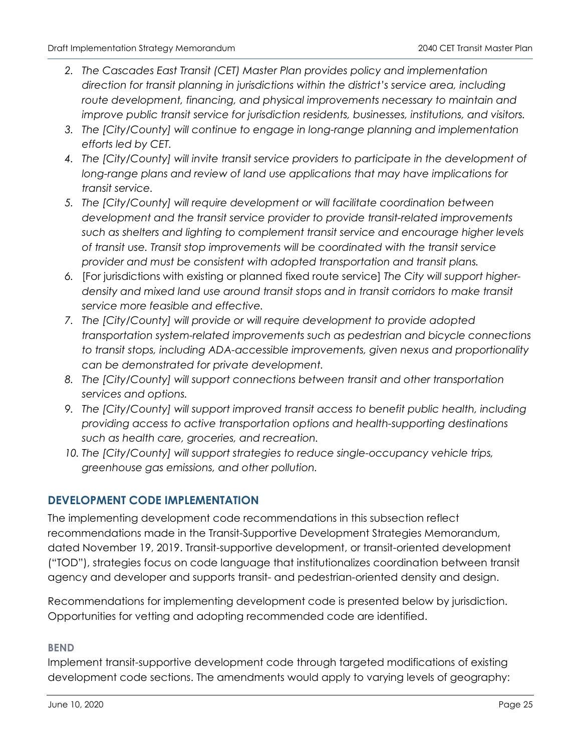- *2. The Cascades East Transit (CET) Master Plan provides policy and implementation direction for transit planning in jurisdictions within the district's service area, including route development, financing, and physical improvements necessary to maintain and improve public transit service for jurisdiction residents, businesses, institutions, and visitors.*
- *3. The [City/County] will continue to engage in long-range planning and implementation efforts led by CET.*
- *4. The [City/County] will invite transit service providers to participate in the development of*  long-range plans and review of land use applications that may have implications for *transit service.*
- *5. The [City/County] will require development or will facilitate coordination between development and the transit service provider to provide transit-related improvements such as shelters and lighting to complement transit service and encourage higher levels of transit use. Transit stop improvements will be coordinated with the transit service provider and must be consistent with adopted transportation and transit plans.*
- *6.* [For jurisdictions with existing or planned fixed route service] *The City will support higherdensity and mixed land use around transit stops and in transit corridors to make transit service more feasible and effective.*
- *7. The [City/County] will provide or will require development to provide adopted transportation system-related improvements such as pedestrian and bicycle connections to transit stops, including ADA-accessible improvements, given nexus and proportionality can be demonstrated for private development.*
- *8. The [City/County] will support connections between transit and other transportation services and options.*
- *9. The [City/County] will support improved transit access to benefit public health, including providing access to active transportation options and health-supporting destinations such as health care, groceries, and recreation.*
- *10. The [City/County] will support strategies to reduce single-occupancy vehicle trips, greenhouse gas emissions, and other pollution.*

# **DEVELOPMENT CODE IMPLEMENTATION**

The implementing development code recommendations in this subsection reflect recommendations made in the Transit-Supportive Development Strategies Memorandum, dated November 19, 2019. Transit-supportive development, or transit-oriented development ("TOD"), strategies focus on code language that institutionalizes coordination between transit agency and developer and supports transit- and pedestrian-oriented density and design.

Recommendations for implementing development code is presented below by jurisdiction. Opportunities for vetting and adopting recommended code are identified.

# **BEND**

Implement transit-supportive development code through targeted modifications of existing development code sections. The amendments would apply to varying levels of geography: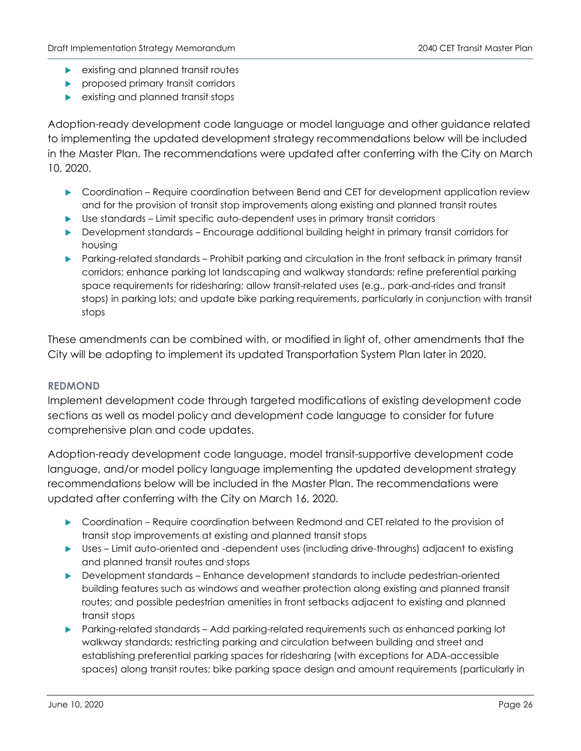- **EXISTING AND PROPERTY EXISTING AND PROPERTY**
- **P** proposed primary transit corridors
- **EXISTING AND ADDED** existing and planned transit stops

Adoption-ready development code language or model language and other guidance related to implementing the updated development strategy recommendations below will be included in the Master Plan. The recommendations were updated after conferring with the City on March 10, 2020.

- Coordination Require coordination between Bend and CET for development application review and for the provision of transit stop improvements along existing and planned transit routes
- Use standards Limit specific auto-dependent uses in primary transit corridors
- Development standards Encourage additional building height in primary transit corridors for housing
- Parking-related standards Prohibit parking and circulation in the front setback in primary transit corridors; enhance parking lot landscaping and walkway standards; refine preferential parking space requirements for ridesharing; allow transit-related uses (e.g., park-and-rides and transit stops) in parking lots; and update bike parking requirements, particularly in conjunction with transit stops

These amendments can be combined with, or modified in light of, other amendments that the City will be adopting to implement its updated Transportation System Plan later in 2020.

# **REDMOND**

Implement development code through targeted modifications of existing development code sections as well as model policy and development code language to consider for future comprehensive plan and code updates.

Adoption-ready development code language, model transit-supportive development code language, and/or model policy language implementing the updated development strategy recommendations below will be included in the Master Plan. The recommendations were updated after conferring with the City on March 16, 2020.

- Coordination Require coordination between Redmond and CET related to the provision of transit stop improvements at existing and planned transit stops
- Uses Limit auto-oriented and -dependent uses (including drive-throughs) adjacent to existing and planned transit routes and stops
- Development standards Enhance development standards to include pedestrian-oriented building features such as windows and weather protection along existing and planned transit routes; and possible pedestrian amenities in front setbacks adjacent to existing and planned transit stops
- Parking-related standards Add parking-related requirements such as enhanced parking lot walkway standards; restricting parking and circulation between building and street and establishing preferential parking spaces for ridesharing (with exceptions for ADA-accessible spaces) along transit routes; bike parking space design and amount requirements (particularly in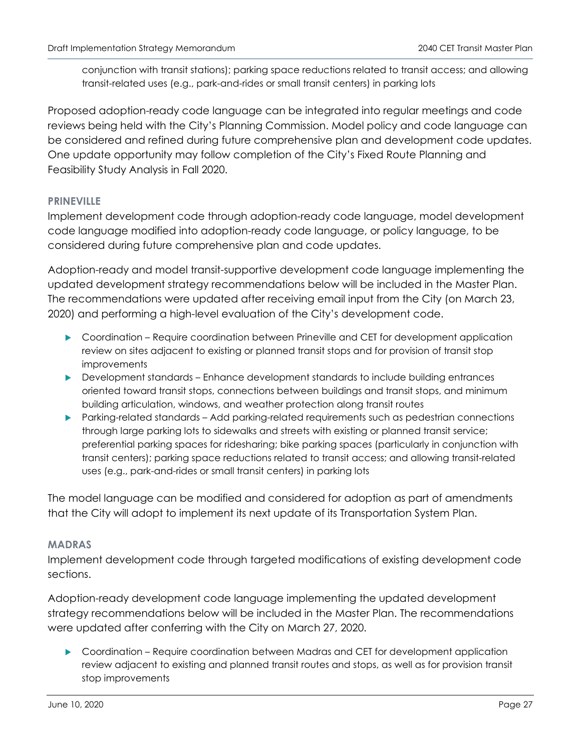conjunction with transit stations); parking space reductions related to transit access; and allowing transit-related uses (e.g., park-and-rides or small transit centers) in parking lots

Proposed adoption-ready code language can be integrated into regular meetings and code reviews being held with the City's Planning Commission. Model policy and code language can be considered and refined during future comprehensive plan and development code updates. One update opportunity may follow completion of the City's Fixed Route Planning and Feasibility Study Analysis in Fall 2020.

# **PRINEVILLE**

Implement development code through adoption-ready code language, model development code language modified into adoption-ready code language, or policy language, to be considered during future comprehensive plan and code updates.

Adoption-ready and model transit-supportive development code language implementing the updated development strategy recommendations below will be included in the Master Plan. The recommendations were updated after receiving email input from the City (on March 23, 2020) and performing a high-level evaluation of the City's development code.

- Coordination Require coordination between Prineville and CET for development application review on sites adjacent to existing or planned transit stops and for provision of transit stop improvements
- Development standards Enhance development standards to include building entrances oriented toward transit stops, connections between buildings and transit stops, and minimum building articulation, windows, and weather protection along transit routes
- Parking-related standards Add parking-related requirements such as pedestrian connections through large parking lots to sidewalks and streets with existing or planned transit service; preferential parking spaces for ridesharing; bike parking spaces (particularly in conjunction with transit centers); parking space reductions related to transit access; and allowing transit-related uses (e.g., park-and-rides or small transit centers) in parking lots

The model language can be modified and considered for adoption as part of amendments that the City will adopt to implement its next update of its Transportation System Plan.

# **MADRAS**

Implement development code through targeted modifications of existing development code sections.

Adoption-ready development code language implementing the updated development strategy recommendations below will be included in the Master Plan. The recommendations were updated after conferring with the City on March 27, 2020.

 Coordination – Require coordination between Madras and CET for development application review adjacent to existing and planned transit routes and stops, as well as for provision transit stop improvements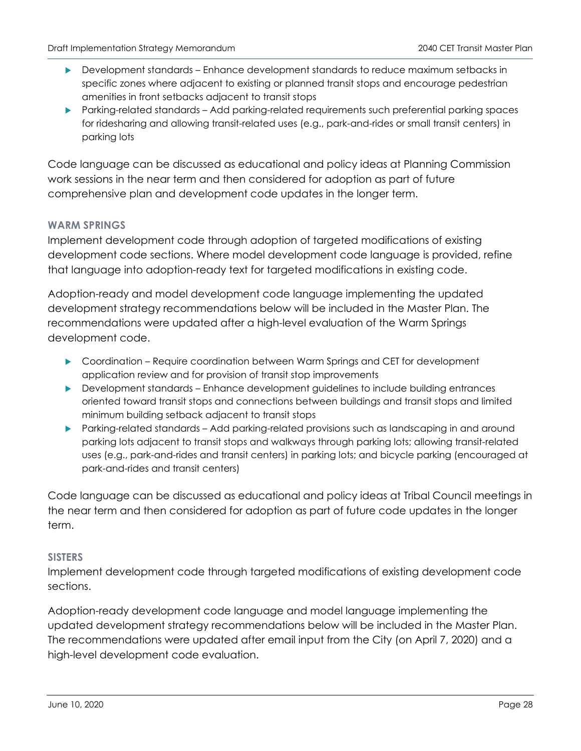- Development standards Enhance development standards to reduce maximum setbacks in specific zones where adjacent to existing or planned transit stops and encourage pedestrian amenities in front setbacks adjacent to transit stops
- Parking-related standards Add parking-related requirements such preferential parking spaces for ridesharing and allowing transit-related uses (e.g., park-and-rides or small transit centers) in parking lots

Code language can be discussed as educational and policy ideas at Planning Commission work sessions in the near term and then considered for adoption as part of future comprehensive plan and development code updates in the longer term.

# **WARM SPRINGS**

Implement development code through adoption of targeted modifications of existing development code sections. Where model development code language is provided, refine that language into adoption-ready text for targeted modifications in existing code.

Adoption-ready and model development code language implementing the updated development strategy recommendations below will be included in the Master Plan. The recommendations were updated after a high-level evaluation of the Warm Springs development code.

- Coordination Require coordination between Warm Springs and CET for development application review and for provision of transit stop improvements
- Development standards Enhance development guidelines to include building entrances oriented toward transit stops and connections between buildings and transit stops and limited minimum building setback adjacent to transit stops
- Parking-related standards Add parking-related provisions such as landscaping in and around parking lots adjacent to transit stops and walkways through parking lots; allowing transit-related uses (e.g., park-and-rides and transit centers) in parking lots; and bicycle parking (encouraged at park-and-rides and transit centers)

Code language can be discussed as educational and policy ideas at Tribal Council meetings in the near term and then considered for adoption as part of future code updates in the longer term.

#### **SISTERS**

Implement development code through targeted modifications of existing development code sections.

Adoption-ready development code language and model language implementing the updated development strategy recommendations below will be included in the Master Plan. The recommendations were updated after email input from the City (on April 7, 2020) and a high-level development code evaluation.